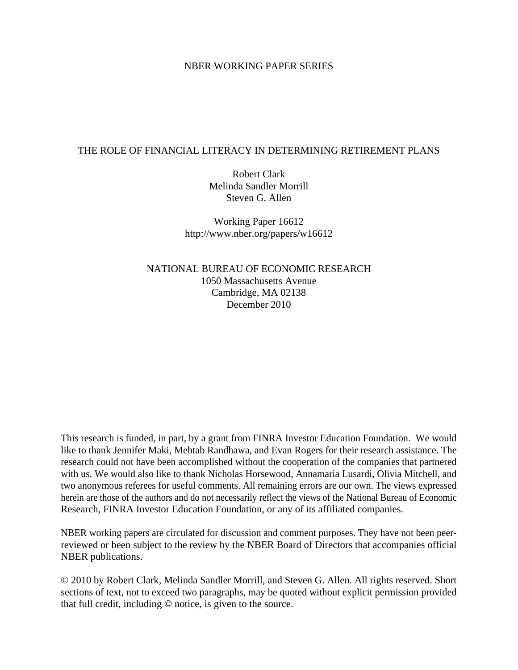### NBER WORKING PAPER SERIES

### THE ROLE OF FINANCIAL LITERACY IN DETERMINING RETIREMENT PLANS

Robert Clark Melinda Sandler Morrill Steven G. Allen

Working Paper 16612 http://www.nber.org/papers/w16612

NATIONAL BUREAU OF ECONOMIC RESEARCH 1050 Massachusetts Avenue Cambridge, MA 02138 December 2010

This research is funded, in part, by a grant from FINRA Investor Education Foundation. We would like to thank Jennifer Maki, Mehtab Randhawa, and Evan Rogers for their research assistance. The research could not have been accomplished without the cooperation of the companies that partnered with us. We would also like to thank Nicholas Horsewood, Annamaria Lusardi, Olivia Mitchell, and two anonymous referees for useful comments. All remaining errors are our own. The views expressed herein are those of the authors and do not necessarily reflect the views of the National Bureau of Economic Research, FINRA Investor Education Foundation, or any of its affiliated companies.

NBER working papers are circulated for discussion and comment purposes. They have not been peerreviewed or been subject to the review by the NBER Board of Directors that accompanies official NBER publications.

© 2010 by Robert Clark, Melinda Sandler Morrill, and Steven G. Allen. All rights reserved. Short sections of text, not to exceed two paragraphs, may be quoted without explicit permission provided that full credit, including © notice, is given to the source.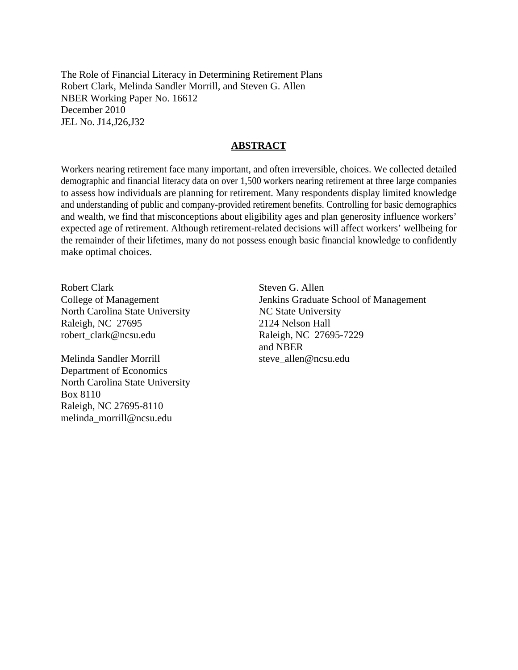The Role of Financial Literacy in Determining Retirement Plans Robert Clark, Melinda Sandler Morrill, and Steven G. Allen NBER Working Paper No. 16612 December 2010 JEL No. J14,J26,J32

### **ABSTRACT**

Workers nearing retirement face many important, and often irreversible, choices. We collected detailed demographic and financial literacy data on over 1,500 workers nearing retirement at three large companies to assess how individuals are planning for retirement. Many respondents display limited knowledge and understanding of public and company-provided retirement benefits. Controlling for basic demographics and wealth, we find that misconceptions about eligibility ages and plan generosity influence workers' expected age of retirement. Although retirement-related decisions will affect workers' wellbeing for the remainder of their lifetimes, many do not possess enough basic financial knowledge to confidently make optimal choices.

Robert Clark College of Management North Carolina State University Raleigh, NC 27695 robert\_clark@ncsu.edu

Melinda Sandler Morrill Department of Economics North Carolina State University Box 8110 Raleigh, NC 27695-8110 melinda\_morrill@ncsu.edu

Steven G. Allen Jenkins Graduate School of Management NC State University 2124 Nelson Hall Raleigh, NC 27695-7229 and NBER steve\_allen@ncsu.edu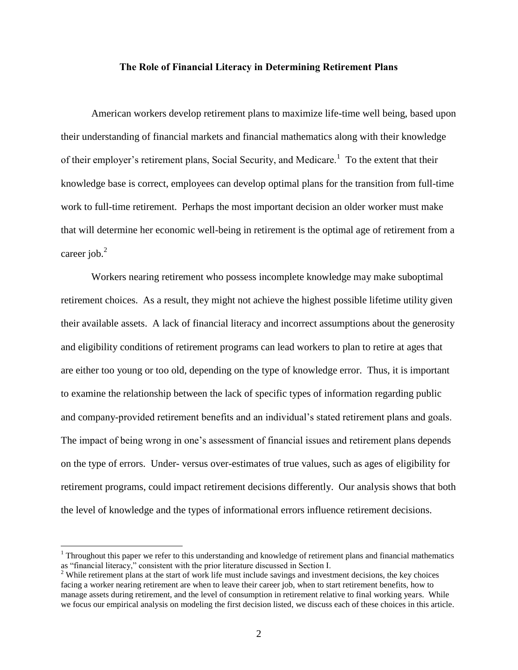### **The Role of Financial Literacy in Determining Retirement Plans**

American workers develop retirement plans to maximize life-time well being, based upon their understanding of financial markets and financial mathematics along with their knowledge of their employer's retirement plans, Social Security, and Medicare.<sup>1</sup> To the extent that their knowledge base is correct, employees can develop optimal plans for the transition from full-time work to full-time retirement. Perhaps the most important decision an older worker must make that will determine her economic well-being in retirement is the optimal age of retirement from a career job. $<sup>2</sup>$ </sup>

Workers nearing retirement who possess incomplete knowledge may make suboptimal retirement choices. As a result, they might not achieve the highest possible lifetime utility given their available assets. A lack of financial literacy and incorrect assumptions about the generosity and eligibility conditions of retirement programs can lead workers to plan to retire at ages that are either too young or too old, depending on the type of knowledge error. Thus, it is important to examine the relationship between the lack of specific types of information regarding public and company-provided retirement benefits and an individual's stated retirement plans and goals. The impact of being wrong in one's assessment of financial issues and retirement plans depends on the type of errors. Under- versus over-estimates of true values, such as ages of eligibility for retirement programs, could impact retirement decisions differently. Our analysis shows that both the level of knowledge and the types of informational errors influence retirement decisions.

 $\overline{a}$ 

<sup>&</sup>lt;sup>1</sup> Throughout this paper we refer to this understanding and knowledge of retirement plans and financial mathematics as "financial literacy," consistent with the prior literature discussed in Section I.

<sup>&</sup>lt;sup>2</sup> While retirement plans at the start of work life must include savings and investment decisions, the key choices facing a worker nearing retirement are when to leave their career job, when to start retirement benefits, how to manage assets during retirement, and the level of consumption in retirement relative to final working years. While we focus our empirical analysis on modeling the first decision listed, we discuss each of these choices in this article.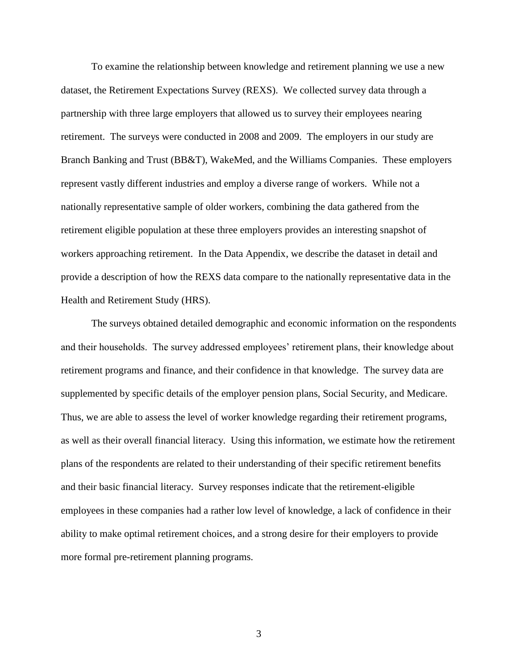To examine the relationship between knowledge and retirement planning we use a new dataset, the Retirement Expectations Survey (REXS). We collected survey data through a partnership with three large employers that allowed us to survey their employees nearing retirement. The surveys were conducted in 2008 and 2009. The employers in our study are Branch Banking and Trust (BB&T), WakeMed, and the Williams Companies. These employers represent vastly different industries and employ a diverse range of workers. While not a nationally representative sample of older workers, combining the data gathered from the retirement eligible population at these three employers provides an interesting snapshot of workers approaching retirement. In the Data Appendix, we describe the dataset in detail and provide a description of how the REXS data compare to the nationally representative data in the Health and Retirement Study (HRS).

The surveys obtained detailed demographic and economic information on the respondents and their households. The survey addressed employees' retirement plans, their knowledge about retirement programs and finance, and their confidence in that knowledge. The survey data are supplemented by specific details of the employer pension plans, Social Security, and Medicare. Thus, we are able to assess the level of worker knowledge regarding their retirement programs, as well as their overall financial literacy. Using this information, we estimate how the retirement plans of the respondents are related to their understanding of their specific retirement benefits and their basic financial literacy. Survey responses indicate that the retirement-eligible employees in these companies had a rather low level of knowledge, a lack of confidence in their ability to make optimal retirement choices, and a strong desire for their employers to provide more formal pre-retirement planning programs.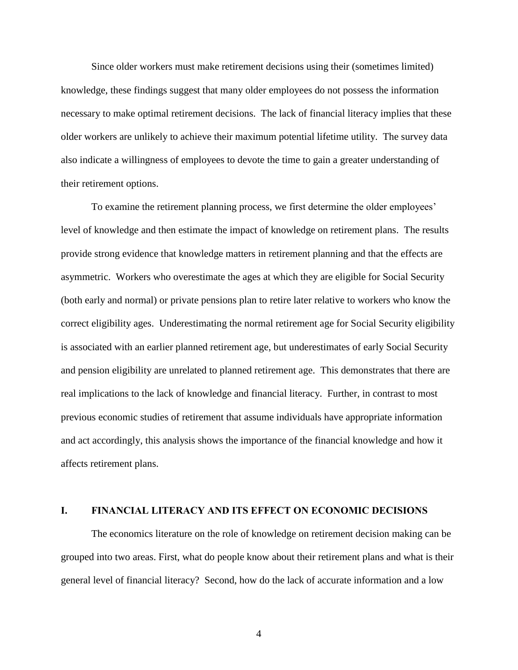Since older workers must make retirement decisions using their (sometimes limited) knowledge, these findings suggest that many older employees do not possess the information necessary to make optimal retirement decisions. The lack of financial literacy implies that these older workers are unlikely to achieve their maximum potential lifetime utility. The survey data also indicate a willingness of employees to devote the time to gain a greater understanding of their retirement options.

To examine the retirement planning process, we first determine the older employees' level of knowledge and then estimate the impact of knowledge on retirement plans. The results provide strong evidence that knowledge matters in retirement planning and that the effects are asymmetric. Workers who overestimate the ages at which they are eligible for Social Security (both early and normal) or private pensions plan to retire later relative to workers who know the correct eligibility ages. Underestimating the normal retirement age for Social Security eligibility is associated with an earlier planned retirement age, but underestimates of early Social Security and pension eligibility are unrelated to planned retirement age. This demonstrates that there are real implications to the lack of knowledge and financial literacy. Further, in contrast to most previous economic studies of retirement that assume individuals have appropriate information and act accordingly, this analysis shows the importance of the financial knowledge and how it affects retirement plans.

### **I. FINANCIAL LITERACY AND ITS EFFECT ON ECONOMIC DECISIONS**

The economics literature on the role of knowledge on retirement decision making can be grouped into two areas. First, what do people know about their retirement plans and what is their general level of financial literacy? Second, how do the lack of accurate information and a low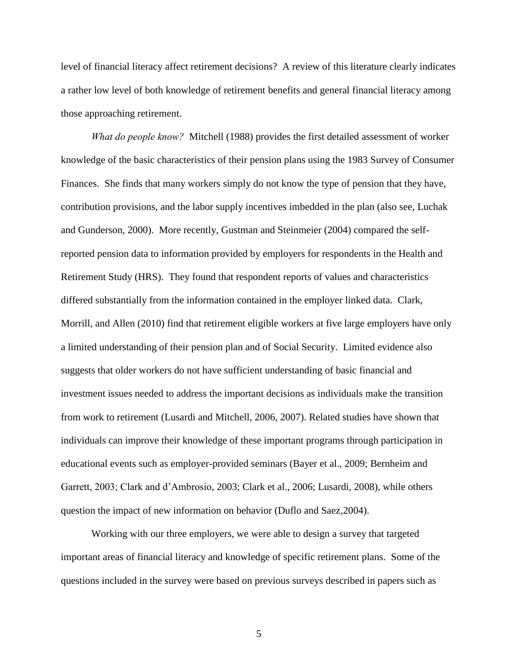level of financial literacy affect retirement decisions? A review of this literature clearly indicates a rather low level of both knowledge of retirement benefits and general financial literacy among those approaching retirement.

*What do people know?* Mitchell (1988) provides the first detailed assessment of worker knowledge of the basic characteristics of their pension plans using the 1983 Survey of Consumer Finances. She finds that many workers simply do not know the type of pension that they have, contribution provisions, and the labor supply incentives imbedded in the plan (also see, Luchak and Gunderson, 2000). More recently, Gustman and Steinmeier (2004) compared the selfreported pension data to information provided by employers for respondents in the Health and Retirement Study (HRS). They found that respondent reports of values and characteristics differed substantially from the information contained in the employer linked data. Clark, Morrill, and Allen (2010) find that retirement eligible workers at five large employers have only a limited understanding of their pension plan and of Social Security. Limited evidence also suggests that older workers do not have sufficient understanding of basic financial and investment issues needed to address the important decisions as individuals make the transition from work to retirement (Lusardi and Mitchell, 2006, 2007). Related studies have shown that individuals can improve their knowledge of these important programs through participation in educational events such as employer-provided seminars (Bayer et al., 2009; Bernheim and Garrett, 2003; Clark and d'Ambrosio, 2003; Clark et al., 2006; Lusardi, 2008), while others question the impact of new information on behavior (Duflo and Saez,2004).

Working with our three employers, we were able to design a survey that targeted important areas of financial literacy and knowledge of specific retirement plans. Some of the questions included in the survey were based on previous surveys described in papers such as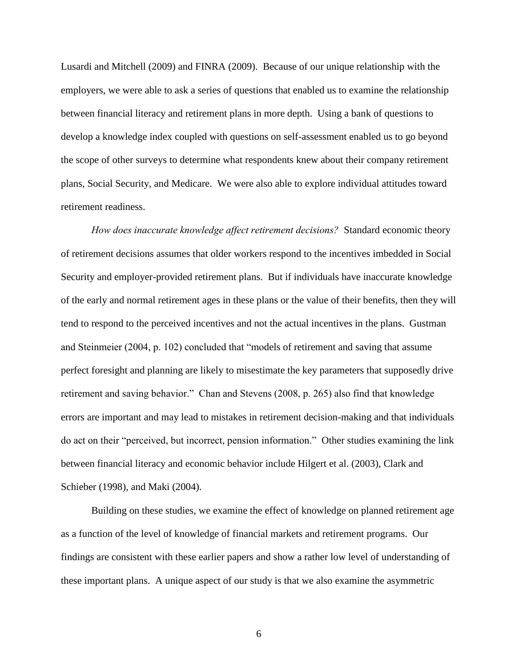Lusardi and Mitchell (2009) and FINRA (2009). Because of our unique relationship with the employers, we were able to ask a series of questions that enabled us to examine the relationship between financial literacy and retirement plans in more depth. Using a bank of questions to develop a knowledge index coupled with questions on self-assessment enabled us to go beyond the scope of other surveys to determine what respondents knew about their company retirement plans, Social Security, and Medicare. We were also able to explore individual attitudes toward retirement readiness.

*How does inaccurate knowledge affect retirement decisions?* Standard economic theory of retirement decisions assumes that older workers respond to the incentives imbedded in Social Security and employer-provided retirement plans. But if individuals have inaccurate knowledge of the early and normal retirement ages in these plans or the value of their benefits, then they will tend to respond to the perceived incentives and not the actual incentives in the plans. Gustman and Steinmeier (2004, p. 102) concluded that "models of retirement and saving that assume perfect foresight and planning are likely to misestimate the key parameters that supposedly drive retirement and saving behavior." Chan and Stevens (2008, p. 265) also find that knowledge errors are important and may lead to mistakes in retirement decision-making and that individuals do act on their "perceived, but incorrect, pension information." Other studies examining the link between financial literacy and economic behavior include Hilgert et al. (2003), Clark and Schieber (1998), and Maki (2004).

Building on these studies, we examine the effect of knowledge on planned retirement age as a function of the level of knowledge of financial markets and retirement programs. Our findings are consistent with these earlier papers and show a rather low level of understanding of these important plans. A unique aspect of our study is that we also examine the asymmetric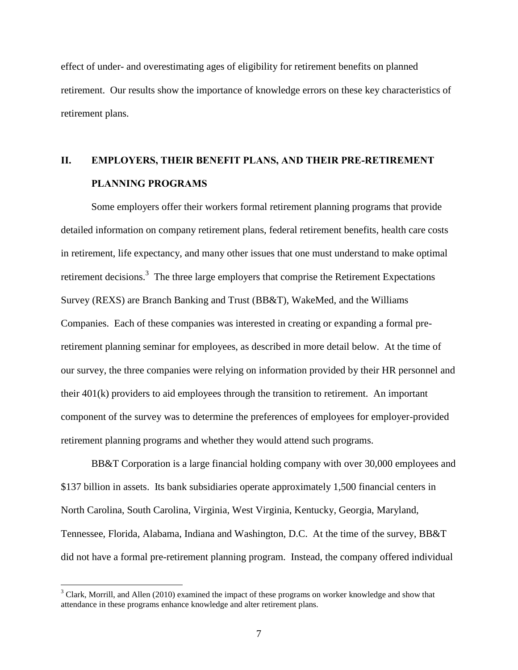effect of under- and overestimating ages of eligibility for retirement benefits on planned retirement. Our results show the importance of knowledge errors on these key characteristics of retirement plans.

# **II. EMPLOYERS, THEIR BENEFIT PLANS, AND THEIR PRE-RETIREMENT PLANNING PROGRAMS**

Some employers offer their workers formal retirement planning programs that provide detailed information on company retirement plans, federal retirement benefits, health care costs in retirement, life expectancy, and many other issues that one must understand to make optimal retirement decisions.<sup>3</sup> The three large employers that comprise the Retirement Expectations Survey (REXS) are Branch Banking and Trust (BB&T), WakeMed, and the Williams Companies. Each of these companies was interested in creating or expanding a formal preretirement planning seminar for employees, as described in more detail below. At the time of our survey, the three companies were relying on information provided by their HR personnel and their 401(k) providers to aid employees through the transition to retirement. An important component of the survey was to determine the preferences of employees for employer-provided retirement planning programs and whether they would attend such programs.

BB&T Corporation is a large financial holding company with over 30,000 employees and \$137 billion in assets. Its bank subsidiaries operate approximately 1,500 financial centers in North Carolina, South Carolina, Virginia, West Virginia, Kentucky, Georgia, Maryland, Tennessee, Florida, Alabama, Indiana and Washington, D.C. At the time of the survey, BB&T did not have a formal pre-retirement planning program. Instead, the company offered individual

 $\overline{a}$ 

<sup>&</sup>lt;sup>3</sup> Clark. Morrill, and Allen (2010) examined the impact of these programs on worker knowledge and show that attendance in these programs enhance knowledge and alter retirement plans.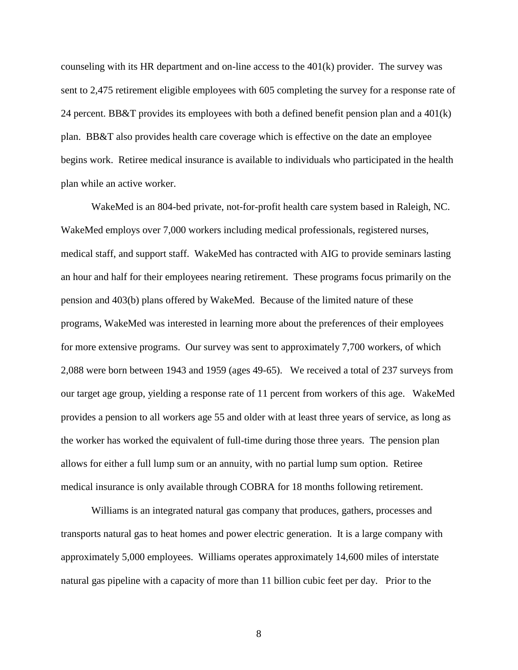counseling with its HR department and on-line access to the  $401(k)$  provider. The survey was sent to 2,475 retirement eligible employees with 605 completing the survey for a response rate of 24 percent. BB&T provides its employees with both a defined benefit pension plan and a  $401(k)$ plan. BB&T also provides health care coverage which is effective on the date an employee begins work. Retiree medical insurance is available to individuals who participated in the health plan while an active worker.

WakeMed is an 804-bed private, not-for-profit health care system based in Raleigh, NC. WakeMed employs over 7,000 workers including medical professionals, registered nurses, medical staff, and support staff. WakeMed has contracted with AIG to provide seminars lasting an hour and half for their employees nearing retirement. These programs focus primarily on the pension and 403(b) plans offered by WakeMed. Because of the limited nature of these programs, WakeMed was interested in learning more about the preferences of their employees for more extensive programs.Our survey was sent to approximately 7,700 workers, of which 2,088 were born between 1943 and 1959 (ages 49-65). We received a total of 237 surveys from our target age group, yielding a response rate of 11 percent from workers of this age. WakeMed provides a pension to all workers age 55 and older with at least three years of service, as long as the worker has worked the equivalent of full-time during those three years. The pension plan allows for either a full lump sum or an annuity, with no partial lump sum option. Retiree medical insurance is only available through COBRA for 18 months following retirement.

Williams is an integrated natural gas company that produces, gathers, processes and transports natural gas to heat homes and power electric generation. It is a large company with approximately 5,000 employees. Williams operates approximately 14,600 miles of interstate natural gas pipeline with a capacity of more than 11 billion cubic feet per day. Prior to the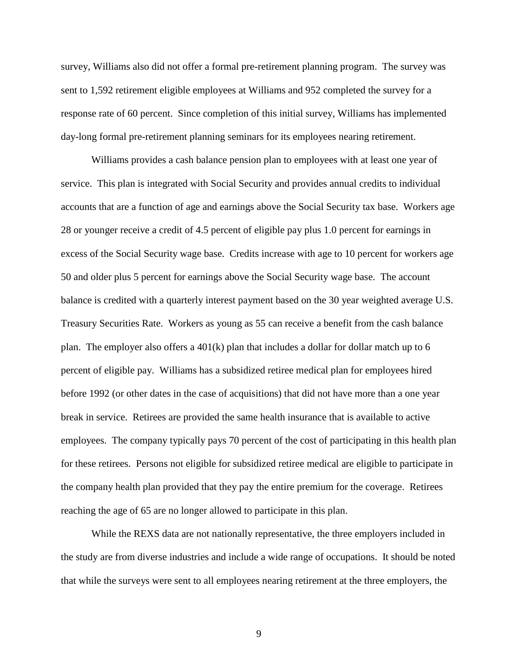survey, Williams also did not offer a formal pre-retirement planning program. The survey was sent to 1,592 retirement eligible employees at Williams and 952 completed the survey for a response rate of 60 percent. Since completion of this initial survey, Williams has implemented day-long formal pre-retirement planning seminars for its employees nearing retirement.

Williams provides a cash balance pension plan to employees with at least one year of service. This plan is integrated with Social Security and provides annual credits to individual accounts that are a function of age and earnings above the Social Security tax base. Workers age 28 or younger receive a credit of 4.5 percent of eligible pay plus 1.0 percent for earnings in excess of the Social Security wage base. Credits increase with age to 10 percent for workers age 50 and older plus 5 percent for earnings above the Social Security wage base. The account balance is credited with a quarterly interest payment based on the 30 year weighted average U.S. Treasury Securities Rate. Workers as young as 55 can receive a benefit from the cash balance plan. The employer also offers a 401(k) plan that includes a dollar for dollar match up to 6 percent of eligible pay. Williams has a subsidized retiree medical plan for employees hired before 1992 (or other dates in the case of acquisitions) that did not have more than a one year break in service. Retirees are provided the same health insurance that is available to active employees. The company typically pays 70 percent of the cost of participating in this health plan for these retirees. Persons not eligible for subsidized retiree medical are eligible to participate in the company health plan provided that they pay the entire premium for the coverage. Retirees reaching the age of 65 are no longer allowed to participate in this plan.

While the REXS data are not nationally representative, the three employers included in the study are from diverse industries and include a wide range of occupations. It should be noted that while the surveys were sent to all employees nearing retirement at the three employers, the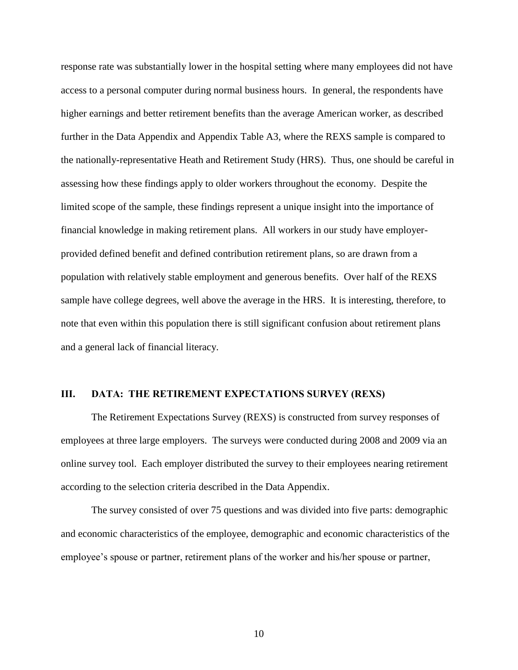response rate was substantially lower in the hospital setting where many employees did not have access to a personal computer during normal business hours. In general, the respondents have higher earnings and better retirement benefits than the average American worker, as described further in the Data Appendix and Appendix Table A3, where the REXS sample is compared to the nationally-representative Heath and Retirement Study (HRS). Thus, one should be careful in assessing how these findings apply to older workers throughout the economy. Despite the limited scope of the sample, these findings represent a unique insight into the importance of financial knowledge in making retirement plans. All workers in our study have employerprovided defined benefit and defined contribution retirement plans, so are drawn from a population with relatively stable employment and generous benefits. Over half of the REXS sample have college degrees, well above the average in the HRS. It is interesting, therefore, to note that even within this population there is still significant confusion about retirement plans and a general lack of financial literacy.

### **III. DATA: THE RETIREMENT EXPECTATIONS SURVEY (REXS)**

The Retirement Expectations Survey (REXS) is constructed from survey responses of employees at three large employers. The surveys were conducted during 2008 and 2009 via an online survey tool. Each employer distributed the survey to their employees nearing retirement according to the selection criteria described in the Data Appendix.

The survey consisted of over 75 questions and was divided into five parts: demographic and economic characteristics of the employee, demographic and economic characteristics of the employee's spouse or partner, retirement plans of the worker and his/her spouse or partner,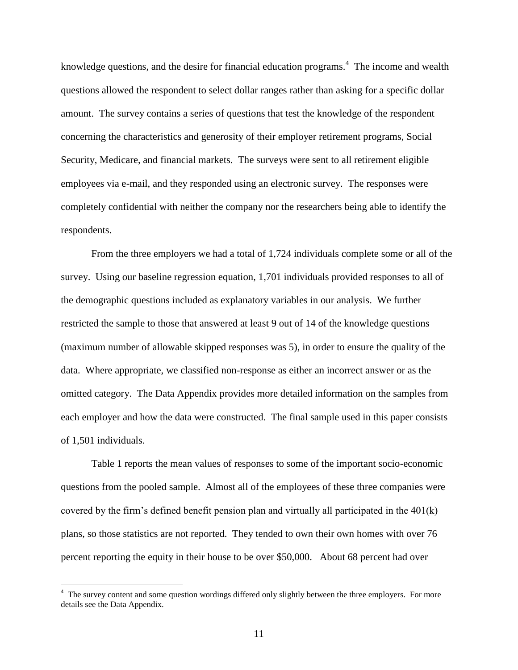knowledge questions, and the desire for financial education programs. $4$  The income and wealth questions allowed the respondent to select dollar ranges rather than asking for a specific dollar amount. The survey contains a series of questions that test the knowledge of the respondent concerning the characteristics and generosity of their employer retirement programs, Social Security, Medicare, and financial markets. The surveys were sent to all retirement eligible employees via e-mail, and they responded using an electronic survey. The responses were completely confidential with neither the company nor the researchers being able to identify the respondents.

From the three employers we had a total of 1,724 individuals complete some or all of the survey. Using our baseline regression equation, 1,701 individuals provided responses to all of the demographic questions included as explanatory variables in our analysis. We further restricted the sample to those that answered at least 9 out of 14 of the knowledge questions (maximum number of allowable skipped responses was 5), in order to ensure the quality of the data. Where appropriate, we classified non-response as either an incorrect answer or as the omitted category. The Data Appendix provides more detailed information on the samples from each employer and how the data were constructed. The final sample used in this paper consists of 1,501 individuals.

Table 1 reports the mean values of responses to some of the important socio-economic questions from the pooled sample. Almost all of the employees of these three companies were covered by the firm's defined benefit pension plan and virtually all participated in the 401(k) plans, so those statistics are not reported. They tended to own their own homes with over 76 percent reporting the equity in their house to be over \$50,000. About 68 percent had over

<sup>&</sup>lt;sup>4</sup> The survey content and some question wordings differed only slightly between the three employers. For more details see the Data Appendix.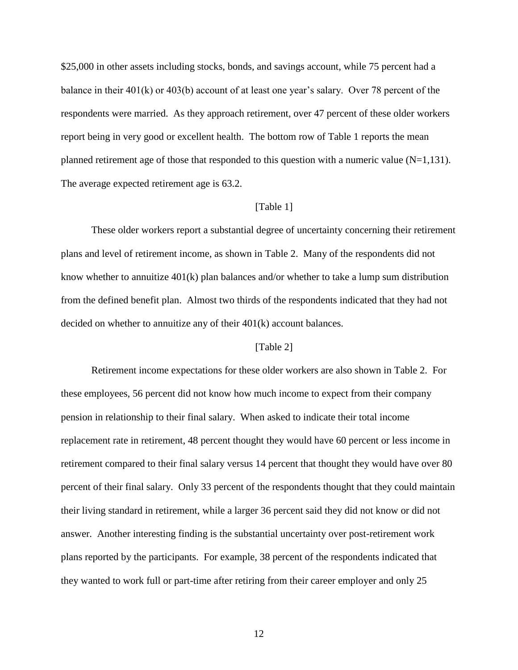\$25,000 in other assets including stocks, bonds, and savings account, while 75 percent had a balance in their 401(k) or 403(b) account of at least one year's salary. Over 78 percent of the respondents were married. As they approach retirement, over 47 percent of these older workers report being in very good or excellent health.The bottom row of Table 1 reports the mean planned retirement age of those that responded to this question with a numeric value  $(N=1,131)$ . The average expected retirement age is 63.2.

### [Table 1]

These older workers report a substantial degree of uncertainty concerning their retirement plans and level of retirement income, as shown in Table 2. Many of the respondents did not know whether to annuitize 401(k) plan balances and/or whether to take a lump sum distribution from the defined benefit plan. Almost two thirds of the respondents indicated that they had not decided on whether to annuitize any of their 401(k) account balances.

### [Table 2]

Retirement income expectations for these older workers are also shown in Table 2. For these employees, 56 percent did not know how much income to expect from their company pension in relationship to their final salary. When asked to indicate their total income replacement rate in retirement, 48 percent thought they would have 60 percent or less income in retirement compared to their final salary versus 14 percent that thought they would have over 80 percent of their final salary. Only 33 percent of the respondents thought that they could maintain their living standard in retirement, while a larger 36 percent said they did not know or did not answer. Another interesting finding is the substantial uncertainty over post-retirement work plans reported by the participants. For example, 38 percent of the respondents indicated that they wanted to work full or part-time after retiring from their career employer and only 25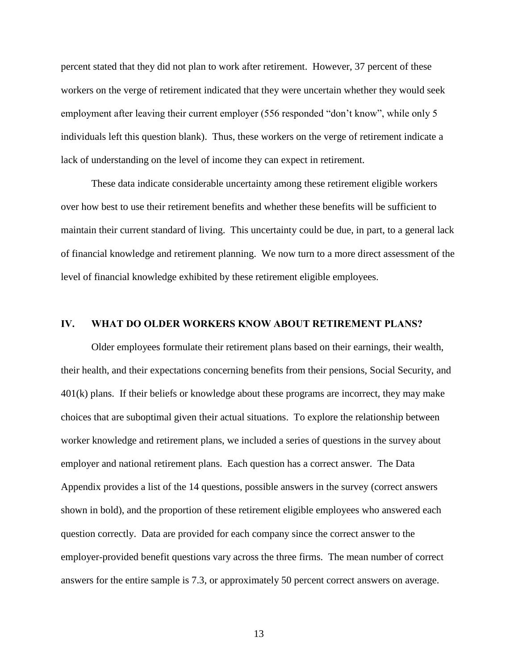percent stated that they did not plan to work after retirement. However, 37 percent of these workers on the verge of retirement indicated that they were uncertain whether they would seek employment after leaving their current employer (556 responded "don't know", while only 5 individuals left this question blank). Thus, these workers on the verge of retirement indicate a lack of understanding on the level of income they can expect in retirement.

These data indicate considerable uncertainty among these retirement eligible workers over how best to use their retirement benefits and whether these benefits will be sufficient to maintain their current standard of living. This uncertainty could be due, in part, to a general lack of financial knowledge and retirement planning. We now turn to a more direct assessment of the level of financial knowledge exhibited by these retirement eligible employees.

### **IV. WHAT DO OLDER WORKERS KNOW ABOUT RETIREMENT PLANS?**

Older employees formulate their retirement plans based on their earnings, their wealth, their health, and their expectations concerning benefits from their pensions, Social Security, and 401(k) plans. If their beliefs or knowledge about these programs are incorrect, they may make choices that are suboptimal given their actual situations. To explore the relationship between worker knowledge and retirement plans, we included a series of questions in the survey about employer and national retirement plans. Each question has a correct answer. The Data Appendix provides a list of the 14 questions, possible answers in the survey (correct answers shown in bold), and the proportion of these retirement eligible employees who answered each question correctly. Data are provided for each company since the correct answer to the employer-provided benefit questions vary across the three firms. The mean number of correct answers for the entire sample is 7.3, or approximately 50 percent correct answers on average.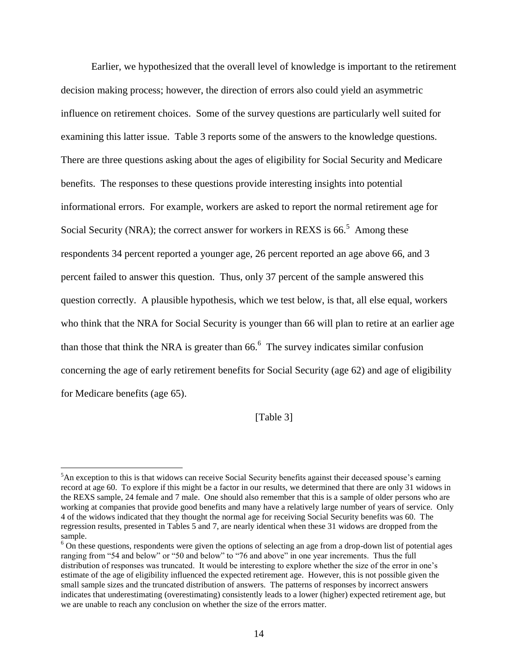Earlier, we hypothesized that the overall level of knowledge is important to the retirement decision making process; however, the direction of errors also could yield an asymmetric influence on retirement choices. Some of the survey questions are particularly well suited for examining this latter issue. Table 3 reports some of the answers to the knowledge questions. There are three questions asking about the ages of eligibility for Social Security and Medicare benefits. The responses to these questions provide interesting insights into potential informational errors. For example, workers are asked to report the normal retirement age for Social Security (NRA); the correct answer for workers in REXS is  $66<sup>5</sup>$  Among these respondents 34 percent reported a younger age, 26 percent reported an age above 66, and 3 percent failed to answer this question. Thus, only 37 percent of the sample answered this question correctly. A plausible hypothesis, which we test below, is that, all else equal, workers who think that the NRA for Social Security is younger than 66 will plan to retire at an earlier age than those that think the NRA is greater than  $66<sup>6</sup>$ . The survey indicates similar confusion concerning the age of early retirement benefits for Social Security (age 62) and age of eligibility for Medicare benefits (age 65).

[Table 3]

 $\overline{a}$ 

<sup>&</sup>lt;sup>5</sup>An exception to this is that widows can receive Social Security benefits against their deceased spouse's earning record at age 60. To explore if this might be a factor in our results, we determined that there are only 31 widows in the REXS sample, 24 female and 7 male. One should also remember that this is a sample of older persons who are working at companies that provide good benefits and many have a relatively large number of years of service. Only 4 of the widows indicated that they thought the normal age for receiving Social Security benefits was 60. The regression results, presented in Tables 5 and 7, are nearly identical when these 31 widows are dropped from the sample.

 $6$  On these questions, respondents were given the options of selecting an age from a drop-down list of potential ages ranging from "54 and below" or "50 and below" to "76 and above" in one year increments. Thus the full distribution of responses was truncated. It would be interesting to explore whether the size of the error in one's estimate of the age of eligibility influenced the expected retirement age. However, this is not possible given the small sample sizes and the truncated distribution of answers. The patterns of responses by incorrect answers indicates that underestimating (overestimating) consistently leads to a lower (higher) expected retirement age, but we are unable to reach any conclusion on whether the size of the errors matter.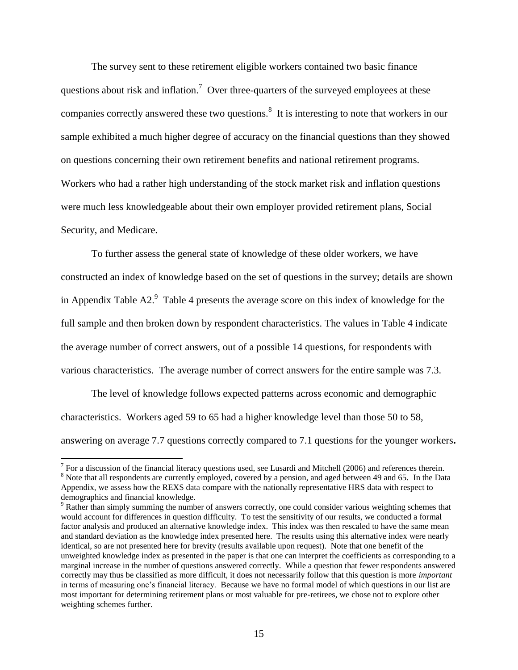The survey sent to these retirement eligible workers contained two basic finance questions about risk and inflation.<sup>7</sup> Over three-quarters of the surveyed employees at these companies correctly answered these two questions.<sup>8</sup> It is interesting to note that workers in our sample exhibited a much higher degree of accuracy on the financial questions than they showed on questions concerning their own retirement benefits and national retirement programs. Workers who had a rather high understanding of the stock market risk and inflation questions were much less knowledgeable about their own employer provided retirement plans, Social Security, and Medicare.

To further assess the general state of knowledge of these older workers, we have constructed an index of knowledge based on the set of questions in the survey; details are shown in Appendix Table A2. $^9$  Table 4 presents the average score on this index of knowledge for the full sample and then broken down by respondent characteristics. The values in Table 4 indicate the average number of correct answers, out of a possible 14 questions, for respondents with various characteristics. The average number of correct answers for the entire sample was 7.3.

The level of knowledge follows expected patterns across economic and demographic characteristics. Workers aged 59 to 65 had a higher knowledge level than those 50 to 58, answering on average 7.7 questions correctly compared to 7.1 questions for the younger workers**.**

<sup>&</sup>lt;sup>7</sup> For a discussion of the financial literacy questions used, see Lusardi and Mitchell (2006) and references therein.

<sup>&</sup>lt;sup>8</sup> Note that all respondents are currently employed, covered by a pension, and aged between 49 and 65. In the Data Appendix, we assess how the REXS data compare with the nationally representative HRS data with respect to demographics and financial knowledge.

<sup>&</sup>lt;sup>9</sup> Rather than simply summing the number of answers correctly, one could consider various weighting schemes that would account for differences in question difficulty. To test the sensitivity of our results, we conducted a formal factor analysis and produced an alternative knowledge index. This index was then rescaled to have the same mean and standard deviation as the knowledge index presented here. The results using this alternative index were nearly identical, so are not presented here for brevity (results available upon request). Note that one benefit of the unweighted knowledge index as presented in the paper is that one can interpret the coefficients as corresponding to a marginal increase in the number of questions answered correctly. While a question that fewer respondents answered correctly may thus be classified as more difficult, it does not necessarily follow that this question is more *important* in terms of measuring one's financial literacy. Because we have no formal model of which questions in our list are most important for determining retirement plans or most valuable for pre-retirees, we chose not to explore other weighting schemes further.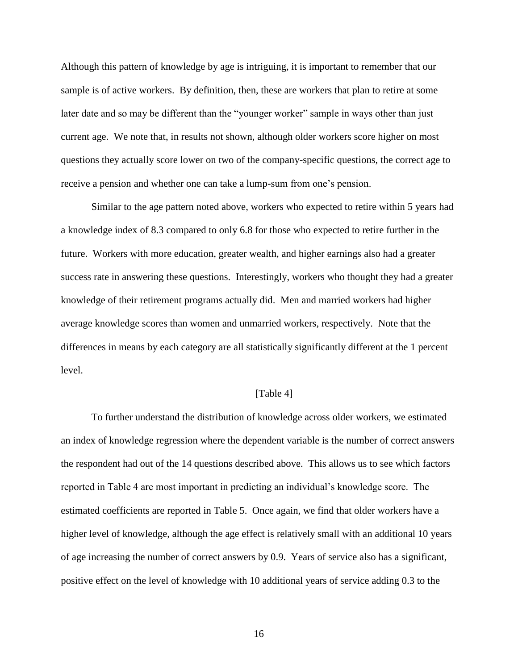Although this pattern of knowledge by age is intriguing, it is important to remember that our sample is of active workers. By definition, then, these are workers that plan to retire at some later date and so may be different than the "younger worker" sample in ways other than just current age. We note that, in results not shown, although older workers score higher on most questions they actually score lower on two of the company-specific questions, the correct age to receive a pension and whether one can take a lump-sum from one's pension.

Similar to the age pattern noted above, workers who expected to retire within 5 years had a knowledge index of 8.3 compared to only 6.8 for those who expected to retire further in the future. Workers with more education, greater wealth, and higher earnings also had a greater success rate in answering these questions. Interestingly, workers who thought they had a greater knowledge of their retirement programs actually did. Men and married workers had higher average knowledge scores than women and unmarried workers, respectively. Note that the differences in means by each category are all statistically significantly different at the 1 percent level.

### [Table 4]

To further understand the distribution of knowledge across older workers, we estimated an index of knowledge regression where the dependent variable is the number of correct answers the respondent had out of the 14 questions described above. This allows us to see which factors reported in Table 4 are most important in predicting an individual's knowledge score. The estimated coefficients are reported in Table 5. Once again, we find that older workers have a higher level of knowledge, although the age effect is relatively small with an additional 10 years of age increasing the number of correct answers by 0.9. Years of service also has a significant, positive effect on the level of knowledge with 10 additional years of service adding 0.3 to the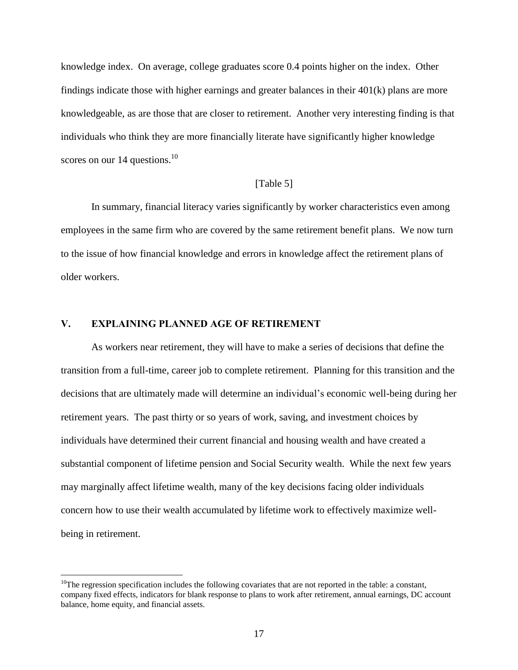knowledge index. On average, college graduates score 0.4 points higher on the index. Other findings indicate those with higher earnings and greater balances in their 401(k) plans are more knowledgeable, as are those that are closer to retirement. Another very interesting finding is that individuals who think they are more financially literate have significantly higher knowledge scores on our 14 questions.<sup>10</sup>

### [Table 5]

In summary, financial literacy varies significantly by worker characteristics even among employees in the same firm who are covered by the same retirement benefit plans. We now turn to the issue of how financial knowledge and errors in knowledge affect the retirement plans of older workers.

### **V. EXPLAINING PLANNED AGE OF RETIREMENT**

 $\overline{a}$ 

As workers near retirement, they will have to make a series of decisions that define the transition from a full-time, career job to complete retirement. Planning for this transition and the decisions that are ultimately made will determine an individual's economic well-being during her retirement years. The past thirty or so years of work, saving, and investment choices by individuals have determined their current financial and housing wealth and have created a substantial component of lifetime pension and Social Security wealth. While the next few years may marginally affect lifetime wealth, many of the key decisions facing older individuals concern how to use their wealth accumulated by lifetime work to effectively maximize wellbeing in retirement.

 $10$ The regression specification includes the following covariates that are not reported in the table: a constant, company fixed effects, indicators for blank response to plans to work after retirement, annual earnings, DC account balance, home equity, and financial assets.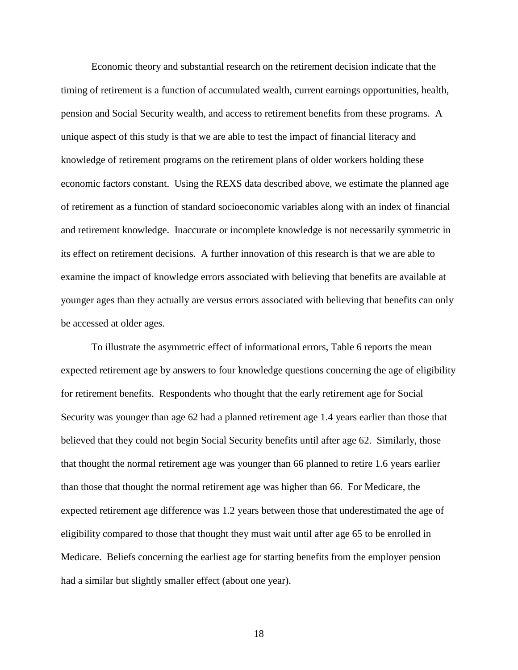Economic theory and substantial research on the retirement decision indicate that the timing of retirement is a function of accumulated wealth, current earnings opportunities, health, pension and Social Security wealth, and access to retirement benefits from these programs. A unique aspect of this study is that we are able to test the impact of financial literacy and knowledge of retirement programs on the retirement plans of older workers holding these economic factors constant. Using the REXS data described above, we estimate the planned age of retirement as a function of standard socioeconomic variables along with an index of financial and retirement knowledge. Inaccurate or incomplete knowledge is not necessarily symmetric in its effect on retirement decisions. A further innovation of this research is that we are able to examine the impact of knowledge errors associated with believing that benefits are available at younger ages than they actually are versus errors associated with believing that benefits can only be accessed at older ages.

To illustrate the asymmetric effect of informational errors, Table 6 reports the mean expected retirement age by answers to four knowledge questions concerning the age of eligibility for retirement benefits. Respondents who thought that the early retirement age for Social Security was younger than age 62 had a planned retirement age 1.4 years earlier than those that believed that they could not begin Social Security benefits until after age 62. Similarly, those that thought the normal retirement age was younger than 66 planned to retire 1.6 years earlier than those that thought the normal retirement age was higher than 66. For Medicare, the expected retirement age difference was 1.2 years between those that underestimated the age of eligibility compared to those that thought they must wait until after age 65 to be enrolled in Medicare. Beliefs concerning the earliest age for starting benefits from the employer pension had a similar but slightly smaller effect (about one year).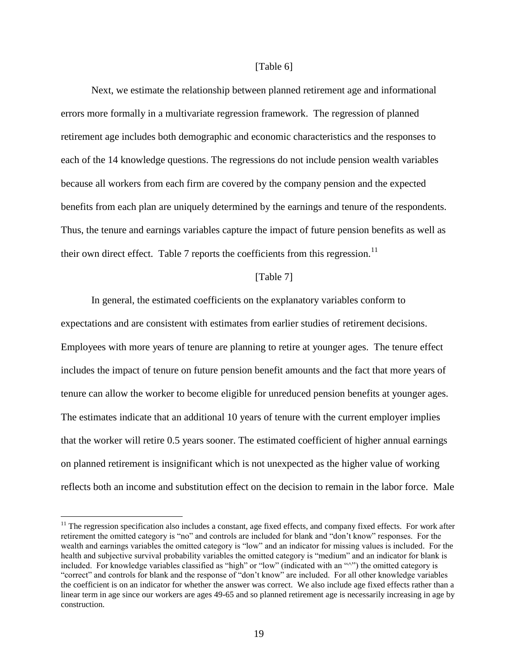#### [Table 6]

Next, we estimate the relationship between planned retirement age and informational errors more formally in a multivariate regression framework. The regression of planned retirement age includes both demographic and economic characteristics and the responses to each of the 14 knowledge questions. The regressions do not include pension wealth variables because all workers from each firm are covered by the company pension and the expected benefits from each plan are uniquely determined by the earnings and tenure of the respondents. Thus, the tenure and earnings variables capture the impact of future pension benefits as well as their own direct effect. Table 7 reports the coefficients from this regression.<sup>11</sup>

#### [Table 7]

In general, the estimated coefficients on the explanatory variables conform to expectations and are consistent with estimates from earlier studies of retirement decisions. Employees with more years of tenure are planning to retire at younger ages. The tenure effect includes the impact of tenure on future pension benefit amounts and the fact that more years of tenure can allow the worker to become eligible for unreduced pension benefits at younger ages. The estimates indicate that an additional 10 years of tenure with the current employer implies that the worker will retire 0.5 years sooner. The estimated coefficient of higher annual earnings on planned retirement is insignificant which is not unexpected as the higher value of working reflects both an income and substitution effect on the decision to remain in the labor force. Male

 $\overline{a}$ 

 $11$  The regression specification also includes a constant, age fixed effects, and company fixed effects. For work after retirement the omitted category is "no" and controls are included for blank and "don't know" responses. For the wealth and earnings variables the omitted category is "low" and an indicator for missing values is included. For the health and subjective survival probability variables the omitted category is "medium" and an indicator for blank is included. For knowledge variables classified as "high" or "low" (indicated with an "^") the omitted category is "correct" and controls for blank and the response of "don't know" are included. For all other knowledge variables the coefficient is on an indicator for whether the answer was correct. We also include age fixed effects rather than a linear term in age since our workers are ages 49-65 and so planned retirement age is necessarily increasing in age by construction.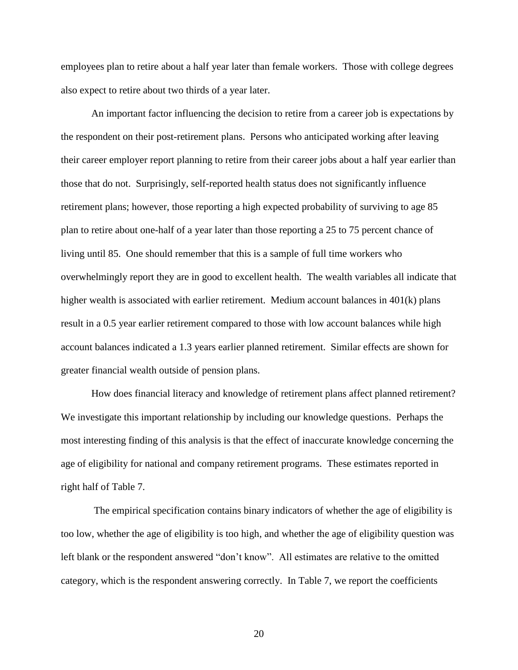employees plan to retire about a half year later than female workers. Those with college degrees also expect to retire about two thirds of a year later.

An important factor influencing the decision to retire from a career job is expectations by the respondent on their post-retirement plans. Persons who anticipated working after leaving their career employer report planning to retire from their career jobs about a half year earlier than those that do not. Surprisingly, self-reported health status does not significantly influence retirement plans; however, those reporting a high expected probability of surviving to age 85 plan to retire about one-half of a year later than those reporting a 25 to 75 percent chance of living until 85. One should remember that this is a sample of full time workers who overwhelmingly report they are in good to excellent health. The wealth variables all indicate that higher wealth is associated with earlier retirement. Medium account balances in 401(k) plans result in a 0.5 year earlier retirement compared to those with low account balances while high account balances indicated a 1.3 years earlier planned retirement. Similar effects are shown for greater financial wealth outside of pension plans.

How does financial literacy and knowledge of retirement plans affect planned retirement? We investigate this important relationship by including our knowledge questions. Perhaps the most interesting finding of this analysis is that the effect of inaccurate knowledge concerning the age of eligibility for national and company retirement programs. These estimates reported in right half of Table 7.

The empirical specification contains binary indicators of whether the age of eligibility is too low, whether the age of eligibility is too high, and whether the age of eligibility question was left blank or the respondent answered "don't know". All estimates are relative to the omitted category, which is the respondent answering correctly. In Table 7, we report the coefficients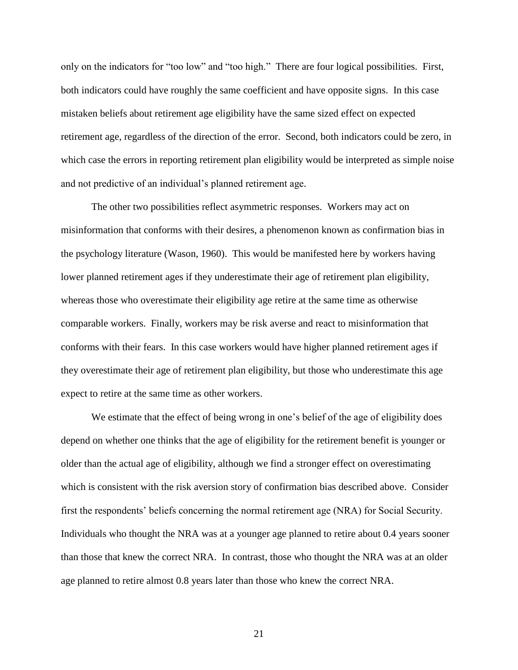only on the indicators for "too low" and "too high." There are four logical possibilities. First, both indicators could have roughly the same coefficient and have opposite signs. In this case mistaken beliefs about retirement age eligibility have the same sized effect on expected retirement age, regardless of the direction of the error. Second, both indicators could be zero, in which case the errors in reporting retirement plan eligibility would be interpreted as simple noise and not predictive of an individual's planned retirement age.

The other two possibilities reflect asymmetric responses. Workers may act on misinformation that conforms with their desires, a phenomenon known as confirmation bias in the psychology literature (Wason, 1960). This would be manifested here by workers having lower planned retirement ages if they underestimate their age of retirement plan eligibility, whereas those who overestimate their eligibility age retire at the same time as otherwise comparable workers. Finally, workers may be risk averse and react to misinformation that conforms with their fears. In this case workers would have higher planned retirement ages if they overestimate their age of retirement plan eligibility, but those who underestimate this age expect to retire at the same time as other workers.

We estimate that the effect of being wrong in one's belief of the age of eligibility does depend on whether one thinks that the age of eligibility for the retirement benefit is younger or older than the actual age of eligibility, although we find a stronger effect on overestimating which is consistent with the risk aversion story of confirmation bias described above. Consider first the respondents' beliefs concerning the normal retirement age (NRA) for Social Security. Individuals who thought the NRA was at a younger age planned to retire about 0.4 years sooner than those that knew the correct NRA. In contrast, those who thought the NRA was at an older age planned to retire almost 0.8 years later than those who knew the correct NRA.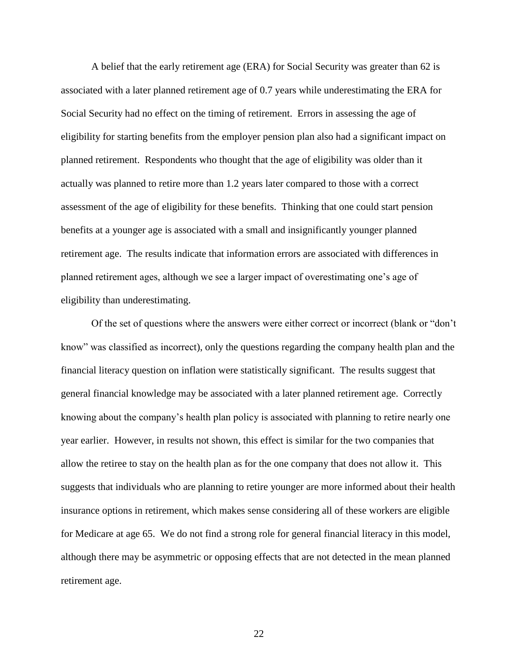A belief that the early retirement age (ERA) for Social Security was greater than 62 is associated with a later planned retirement age of 0.7 years while underestimating the ERA for Social Security had no effect on the timing of retirement. Errors in assessing the age of eligibility for starting benefits from the employer pension plan also had a significant impact on planned retirement. Respondents who thought that the age of eligibility was older than it actually was planned to retire more than 1.2 years later compared to those with a correct assessment of the age of eligibility for these benefits. Thinking that one could start pension benefits at a younger age is associated with a small and insignificantly younger planned retirement age. The results indicate that information errors are associated with differences in planned retirement ages, although we see a larger impact of overestimating one's age of eligibility than underestimating.

Of the set of questions where the answers were either correct or incorrect (blank or "don't know" was classified as incorrect), only the questions regarding the company health plan and the financial literacy question on inflation were statistically significant. The results suggest that general financial knowledge may be associated with a later planned retirement age. Correctly knowing about the company's health plan policy is associated with planning to retire nearly one year earlier. However, in results not shown, this effect is similar for the two companies that allow the retiree to stay on the health plan as for the one company that does not allow it. This suggests that individuals who are planning to retire younger are more informed about their health insurance options in retirement, which makes sense considering all of these workers are eligible for Medicare at age 65. We do not find a strong role for general financial literacy in this model, although there may be asymmetric or opposing effects that are not detected in the mean planned retirement age.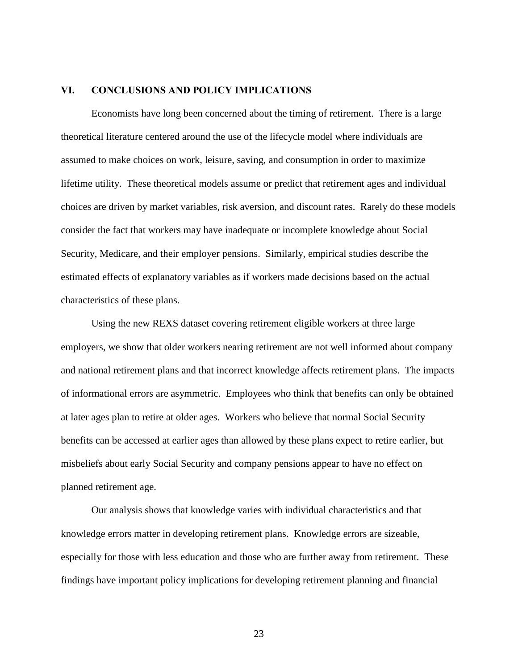### **VI. CONCLUSIONS AND POLICY IMPLICATIONS**

Economists have long been concerned about the timing of retirement. There is a large theoretical literature centered around the use of the lifecycle model where individuals are assumed to make choices on work, leisure, saving, and consumption in order to maximize lifetime utility. These theoretical models assume or predict that retirement ages and individual choices are driven by market variables, risk aversion, and discount rates. Rarely do these models consider the fact that workers may have inadequate or incomplete knowledge about Social Security, Medicare, and their employer pensions. Similarly, empirical studies describe the estimated effects of explanatory variables as if workers made decisions based on the actual characteristics of these plans.

Using the new REXS dataset covering retirement eligible workers at three large employers, we show that older workers nearing retirement are not well informed about company and national retirement plans and that incorrect knowledge affects retirement plans. The impacts of informational errors are asymmetric. Employees who think that benefits can only be obtained at later ages plan to retire at older ages. Workers who believe that normal Social Security benefits can be accessed at earlier ages than allowed by these plans expect to retire earlier, but misbeliefs about early Social Security and company pensions appear to have no effect on planned retirement age.

Our analysis shows that knowledge varies with individual characteristics and that knowledge errors matter in developing retirement plans. Knowledge errors are sizeable, especially for those with less education and those who are further away from retirement. These findings have important policy implications for developing retirement planning and financial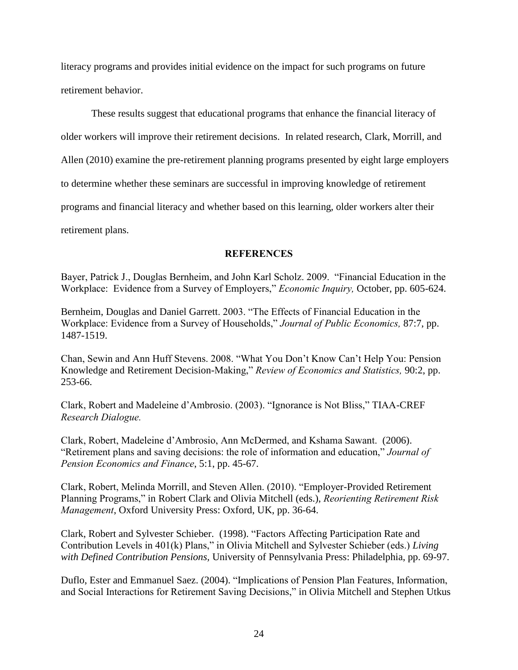literacy programs and provides initial evidence on the impact for such programs on future retirement behavior.

These results suggest that educational programs that enhance the financial literacy of older workers will improve their retirement decisions. In related research, Clark, Morrill, and Allen (2010) examine the pre-retirement planning programs presented by eight large employers to determine whether these seminars are successful in improving knowledge of retirement programs and financial literacy and whether based on this learning, older workers alter their retirement plans.

**REFERENCES**

Bayer, Patrick J., Douglas Bernheim, and John Karl Scholz. 2009. "Financial Education in the Workplace: Evidence from a Survey of Employers," *Economic Inquiry,* October, pp. 605-624.

Bernheim, Douglas and Daniel Garrett. 2003. "The Effects of Financial Education in the Workplace: Evidence from a Survey of Households," *Journal of Public Economics,* 87:7, pp. 1487-1519.

Chan, Sewin and Ann Huff Stevens. 2008. "What You Don't Know Can't Help You: Pension Knowledge and Retirement Decision-Making," *Review of Economics and Statistics,* 90:2, pp. 253-66.

Clark, Robert and Madeleine d'Ambrosio. (2003). "Ignorance is Not Bliss," TIAA-CREF *Research Dialogue.*

Clark, Robert, Madeleine d'Ambrosio, Ann McDermed, and Kshama Sawant. (2006). "Retirement plans and saving decisions: the role of information and education," *Journal of Pension Economics and Finance*, 5:1, pp. 45-67.

Clark, Robert, Melinda Morrill, and Steven Allen. (2010). "Employer-Provided Retirement Planning Programs," in Robert Clark and Olivia Mitchell (eds.), *Reorienting Retirement Risk Management*, Oxford University Press: Oxford, UK, pp. 36-64.

Clark, Robert and Sylvester Schieber. (1998). "Factors Affecting Participation Rate and Contribution Levels in 401(k) Plans," in Olivia Mitchell and Sylvester Schieber (eds.) *Living with Defined Contribution Pensions,* University of Pennsylvania Press: Philadelphia, pp. 69-97.

Duflo, Ester and Emmanuel Saez. (2004). "Implications of Pension Plan Features, Information, and Social Interactions for Retirement Saving Decisions," in Olivia Mitchell and Stephen Utkus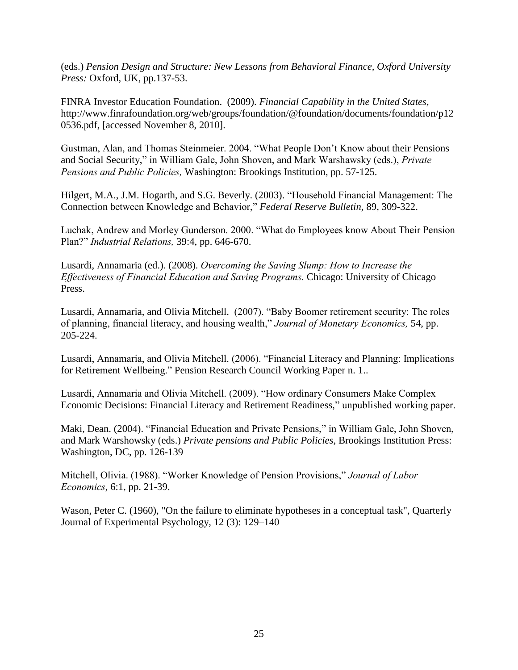(eds.) *Pension Design and Structure: New Lessons from Behavioral Finance, Oxford University Press:* Oxford, UK, pp.137-53.

FINRA Investor Education Foundation. (2009). *Financial Capability in the United States,* http://www.finrafoundation.org/web/groups/foundation/@foundation/documents/foundation/p12 0536.pdf, [accessed November 8, 2010].

Gustman, Alan, and Thomas Steinmeier. 2004. "What People Don't Know about their Pensions and Social Security," in William Gale, John Shoven, and Mark Warshawsky (eds.), *Private Pensions and Public Policies,* Washington: Brookings Institution, pp. 57-125.

Hilgert, M.A., J.M. Hogarth, and S.G. Beverly. (2003). "Household Financial Management: The Connection between Knowledge and Behavior," *Federal Reserve Bulletin,* 89, 309-322.

Luchak, Andrew and Morley Gunderson. 2000. "What do Employees know About Their Pension Plan?" *Industrial Relations,* 39:4, pp. 646-670.

Lusardi, Annamaria (ed.). (2008). *Overcoming the Saving Slump: How to Increase the Effectiveness of Financial Education and Saving Programs.* Chicago: University of Chicago Press.

Lusardi, Annamaria, and Olivia Mitchell. (2007). "Baby Boomer retirement security: The roles of planning, financial literacy, and housing wealth," *Journal of Monetary Economics,* 54, pp. 205-224.

Lusardi, Annamaria, and Olivia Mitchell. (2006). "Financial Literacy and Planning: Implications for Retirement Wellbeing." Pension Research Council Working Paper n. 1..

Lusardi, Annamaria and Olivia Mitchell. (2009). "How ordinary Consumers Make Complex Economic Decisions: Financial Literacy and Retirement Readiness," unpublished working paper.

Maki, Dean. (2004). "Financial Education and Private Pensions," in William Gale, John Shoven, and Mark Warshowsky (eds.) *Private pensions and Public Policies,* Brookings Institution Press: Washington, DC, pp. 126-139

Mitchell, Olivia. (1988). "Worker Knowledge of Pension Provisions," *Journal of Labor Economics*, 6:1, pp. 21-39.

Wason, Peter C. (1960), "On the failure to eliminate hypotheses in a conceptual task", Quarterly Journal of Experimental Psychology, 12 (3): 129–140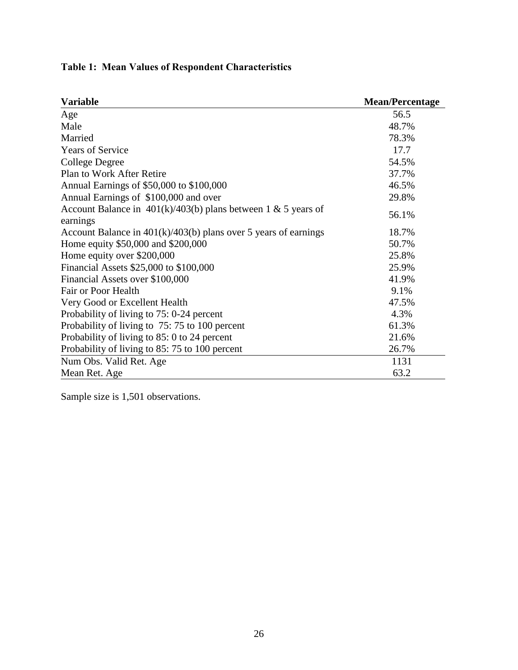| <b>Variable</b>                                                             | <b>Mean/Percentage</b> |
|-----------------------------------------------------------------------------|------------------------|
| Age                                                                         | 56.5                   |
| Male                                                                        | 48.7%                  |
| Married                                                                     | 78.3%                  |
| <b>Years of Service</b>                                                     | 17.7                   |
| College Degree                                                              | 54.5%                  |
| Plan to Work After Retire                                                   | 37.7%                  |
| Annual Earnings of \$50,000 to \$100,000                                    | 46.5%                  |
| Annual Earnings of \$100,000 and over                                       | 29.8%                  |
| Account Balance in $401(k)/403(b)$ plans between 1 & 5 years of<br>earnings | 56.1%                  |
| Account Balance in $401(k)/403(b)$ plans over 5 years of earnings           | 18.7%                  |
| Home equity \$50,000 and \$200,000                                          | 50.7%                  |
| Home equity over \$200,000                                                  | 25.8%                  |
| Financial Assets \$25,000 to \$100,000                                      | 25.9%                  |
| Financial Assets over \$100,000                                             | 41.9%                  |
| Fair or Poor Health                                                         | 9.1%                   |
| Very Good or Excellent Health                                               | 47.5%                  |
| Probability of living to 75: 0-24 percent                                   | 4.3%                   |
| Probability of living to 75:75 to 100 percent                               | 61.3%                  |
| Probability of living to 85: 0 to 24 percent                                | 21.6%                  |
| Probability of living to 85:75 to 100 percent                               | 26.7%                  |
| Num Obs. Valid Ret. Age                                                     | 1131                   |
| Mean Ret. Age                                                               | 63.2                   |

## **Table 1: Mean Values of Respondent Characteristics**

Sample size is 1,501 observations.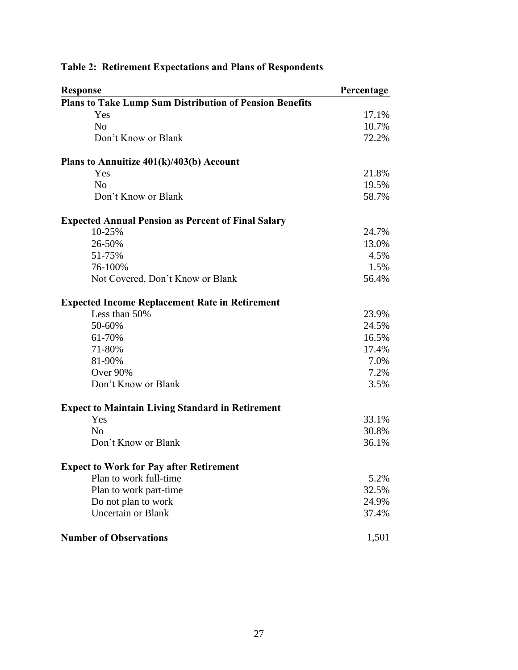| <b>Response</b>                                                | Percentage |
|----------------------------------------------------------------|------------|
| <b>Plans to Take Lump Sum Distribution of Pension Benefits</b> |            |
| Yes                                                            | 17.1%      |
| N <sub>0</sub>                                                 | 10.7%      |
| Don't Know or Blank                                            | 72.2%      |
| Plans to Annuitize 401(k)/403(b) Account                       |            |
| Yes                                                            | 21.8%      |
| N <sub>0</sub>                                                 | 19.5%      |
| Don't Know or Blank                                            | 58.7%      |
| <b>Expected Annual Pension as Percent of Final Salary</b>      |            |
| 10-25%                                                         | 24.7%      |
| 26-50%                                                         | 13.0%      |
| 51-75%                                                         | 4.5%       |
| 76-100%                                                        | 1.5%       |
| Not Covered, Don't Know or Blank                               | 56.4%      |
| <b>Expected Income Replacement Rate in Retirement</b>          |            |
| Less than 50%                                                  | 23.9%      |
| 50-60%                                                         | 24.5%      |
| 61-70%                                                         | 16.5%      |
| 71-80%                                                         | 17.4%      |
| 81-90%                                                         | 7.0%       |
| Over 90%                                                       | 7.2%       |
| Don't Know or Blank                                            | 3.5%       |
| <b>Expect to Maintain Living Standard in Retirement</b>        |            |
| Yes                                                            | 33.1%      |
| N <sub>0</sub>                                                 | 30.8%      |
| Don't Know or Blank                                            | 36.1%      |
| <b>Expect to Work for Pay after Retirement</b>                 |            |
| Plan to work full-time                                         | 5.2%       |
| Plan to work part-time                                         | 32.5%      |
| Do not plan to work                                            | 24.9%      |
| <b>Uncertain or Blank</b>                                      | 37.4%      |
| <b>Number of Observations</b>                                  | 1,501      |

## **Table 2: Retirement Expectations and Plans of Respondents**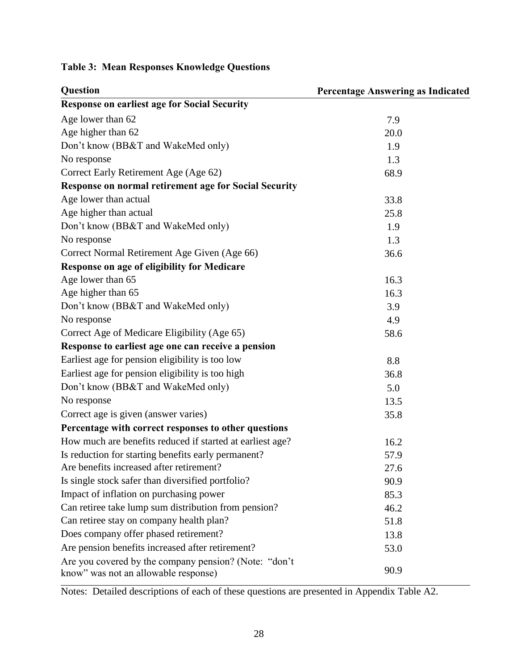| Question                                                                                      | <b>Percentage Answering as Indicated</b> |
|-----------------------------------------------------------------------------------------------|------------------------------------------|
| <b>Response on earliest age for Social Security</b>                                           |                                          |
| Age lower than 62                                                                             | 7.9                                      |
| Age higher than 62                                                                            | 20.0                                     |
| Don't know (BB&T and WakeMed only)                                                            | 1.9                                      |
| No response                                                                                   | 1.3                                      |
| Correct Early Retirement Age (Age 62)                                                         | 68.9                                     |
| Response on normal retirement age for Social Security                                         |                                          |
| Age lower than actual                                                                         | 33.8                                     |
| Age higher than actual                                                                        | 25.8                                     |
| Don't know (BB&T and WakeMed only)                                                            | 1.9                                      |
| No response                                                                                   | 1.3                                      |
| Correct Normal Retirement Age Given (Age 66)                                                  | 36.6                                     |
| Response on age of eligibility for Medicare                                                   |                                          |
| Age lower than 65                                                                             | 16.3                                     |
| Age higher than 65                                                                            | 16.3                                     |
| Don't know (BB&T and WakeMed only)                                                            | 3.9                                      |
| No response                                                                                   | 4.9                                      |
| Correct Age of Medicare Eligibility (Age 65)                                                  | 58.6                                     |
| Response to earliest age one can receive a pension                                            |                                          |
| Earliest age for pension eligibility is too low                                               | 8.8                                      |
| Earliest age for pension eligibility is too high                                              | 36.8                                     |
| Don't know (BB&T and WakeMed only)                                                            | 5.0                                      |
| No response                                                                                   | 13.5                                     |
| Correct age is given (answer varies)                                                          | 35.8                                     |
| Percentage with correct responses to other questions                                          |                                          |
| How much are benefits reduced if started at earliest age?                                     | 16.2                                     |
| Is reduction for starting benefits early permanent?                                           | 57.9                                     |
| Are benefits increased after retirement?                                                      | 27.6                                     |
| Is single stock safer than diversified portfolio?                                             | 90.9                                     |
| Impact of inflation on purchasing power                                                       | 85.3                                     |
| Can retiree take lump sum distribution from pension?                                          | 46.2                                     |
| Can retiree stay on company health plan?                                                      | 51.8                                     |
| Does company offer phased retirement?                                                         | 13.8                                     |
| Are pension benefits increased after retirement?                                              | 53.0                                     |
| Are you covered by the company pension? (Note: "don't<br>know" was not an allowable response) | 90.9                                     |

## **Table 3: Mean Responses Knowledge Questions**

Notes: Detailed descriptions of each of these questions are presented in Appendix Table A2.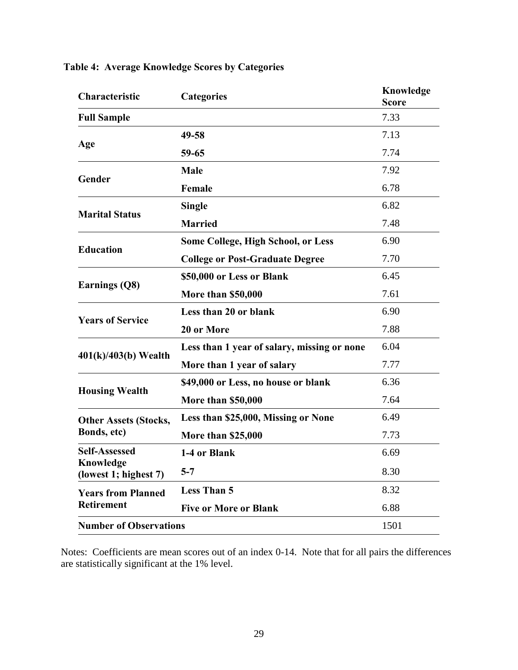| Characteristic                     | <b>Categories</b>                           | Knowledge<br><b>Score</b> |
|------------------------------------|---------------------------------------------|---------------------------|
| <b>Full Sample</b>                 |                                             | 7.33                      |
|                                    | 49-58                                       | 7.13                      |
| Age                                | 59-65                                       | 7.74                      |
|                                    | <b>Male</b>                                 | 7.92                      |
| Gender                             | Female                                      | 6.78                      |
|                                    | <b>Single</b>                               | 6.82                      |
| <b>Marital Status</b>              | <b>Married</b>                              | 7.48                      |
|                                    | <b>Some College, High School, or Less</b>   | 6.90                      |
| <b>Education</b>                   | <b>College or Post-Graduate Degree</b>      | 7.70                      |
|                                    | \$50,000 or Less or Blank                   | 6.45                      |
| Earnings (Q8)                      | <b>More than \$50,000</b>                   | 7.61                      |
| <b>Years of Service</b>            | Less than 20 or blank                       | 6.90                      |
|                                    | 20 or More                                  | 7.88                      |
|                                    | Less than 1 year of salary, missing or none | 6.04                      |
| $401(k)/403(b)$ Wealth             | More than 1 year of salary                  | 7.77                      |
|                                    | \$49,000 or Less, no house or blank         | 6.36                      |
| <b>Housing Wealth</b>              | More than \$50,000                          | 7.64                      |
| <b>Other Assets (Stocks,</b>       | Less than \$25,000, Missing or None         | 6.49                      |
| Bonds, etc)                        | <b>More than \$25,000</b>                   | 7.73                      |
| <b>Self-Assessed</b>               | 1-4 or Blank                                | 6.69                      |
| Knowledge<br>(lowest 1; highest 7) | $5 - 7$                                     | 8.30                      |
| <b>Years from Planned</b>          | <b>Less Than 5</b>                          | 8.32                      |
| <b>Retirement</b>                  | <b>Five or More or Blank</b>                | 6.88                      |
| <b>Number of Observations</b>      |                                             | 1501                      |

## **Table 4: Average Knowledge Scores by Categories**

Notes: Coefficients are mean scores out of an index 0-14. Note that for all pairs the differences are statistically significant at the 1% level.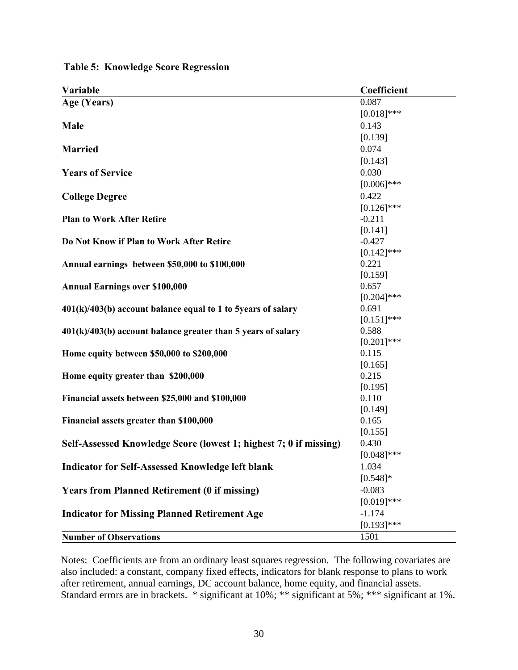| Variable                                                          | Coefficient   |
|-------------------------------------------------------------------|---------------|
| Age (Years)                                                       | 0.087         |
|                                                                   | $[0.018]$ *** |
| Male                                                              | 0.143         |
|                                                                   | [0.139]       |
| <b>Married</b>                                                    | 0.074         |
|                                                                   | [0.143]       |
| <b>Years of Service</b>                                           | 0.030         |
|                                                                   | $[0.006]$ *** |
| <b>College Degree</b>                                             | 0.422         |
|                                                                   | $[0.126]$ *** |
| <b>Plan to Work After Retire</b>                                  | $-0.211$      |
|                                                                   | [0.141]       |
| Do Not Know if Plan to Work After Retire                          | $-0.427$      |
|                                                                   | $[0.142]$ *** |
| Annual earnings between \$50,000 to \$100,000                     | 0.221         |
|                                                                   | [0.159]       |
| <b>Annual Earnings over \$100,000</b>                             | 0.657         |
|                                                                   | $[0.204]$ *** |
| $401(k)/403(b)$ account balance equal to 1 to 5years of salary    | 0.691         |
|                                                                   | $[0.151]$ *** |
| $401(k)/403(b)$ account balance greater than 5 years of salary    | 0.588         |
|                                                                   | $[0.201]$ *** |
| Home equity between \$50,000 to \$200,000                         | 0.115         |
|                                                                   | [0.165]       |
| Home equity greater than \$200,000                                | 0.215         |
|                                                                   | [0.195]       |
| Financial assets between \$25,000 and \$100,000                   | 0.110         |
|                                                                   | [0.149]       |
| Financial assets greater than \$100,000                           | 0.165         |
|                                                                   | [0.155]       |
| Self-Assessed Knowledge Score (lowest 1; highest 7; 0 if missing) | 0.430         |
|                                                                   | $[0.048]$ *** |
| <b>Indicator for Self-Assessed Knowledge left blank</b>           | 1.034         |
|                                                                   | $[0.548]$ *   |
| <b>Years from Planned Retirement (0 if missing)</b>               | $-0.083$      |
|                                                                   | $[0.019]***$  |
| <b>Indicator for Missing Planned Retirement Age</b>               | $-1.174$      |
|                                                                   | $[0.193]$ *** |
| <b>Number of Observations</b>                                     | 1501          |

**Table 5: Knowledge Score Regression**

Notes: Coefficients are from an ordinary least squares regression. The following covariates are also included: a constant, company fixed effects, indicators for blank response to plans to work after retirement, annual earnings, DC account balance, home equity, and financial assets. Standard errors are in brackets. \* significant at 10%; \*\* significant at 5%; \*\*\* significant at 1%.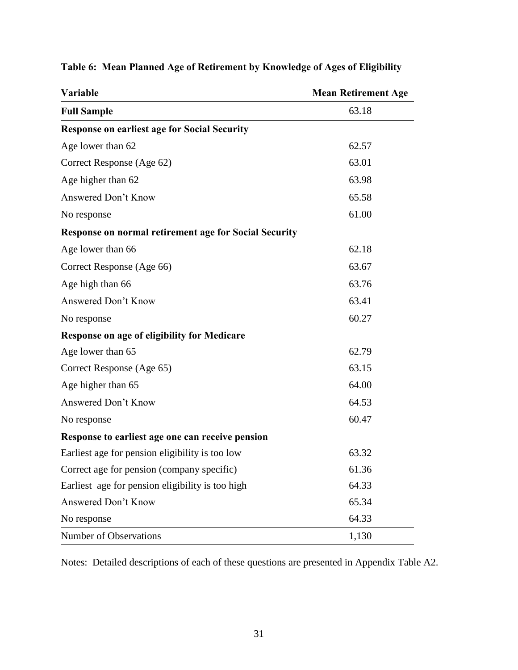| Variable                                                     | <b>Mean Retirement Age</b> |  |  |
|--------------------------------------------------------------|----------------------------|--|--|
| <b>Full Sample</b>                                           | 63.18                      |  |  |
| <b>Response on earliest age for Social Security</b>          |                            |  |  |
| Age lower than 62                                            | 62.57                      |  |  |
| Correct Response (Age 62)                                    | 63.01                      |  |  |
| Age higher than 62                                           | 63.98                      |  |  |
| Answered Don't Know                                          | 65.58                      |  |  |
| No response                                                  | 61.00                      |  |  |
| <b>Response on normal retirement age for Social Security</b> |                            |  |  |
| Age lower than 66                                            | 62.18                      |  |  |
| Correct Response (Age 66)                                    | 63.67                      |  |  |
| Age high than 66                                             | 63.76                      |  |  |
| Answered Don't Know                                          | 63.41                      |  |  |
| No response                                                  | 60.27                      |  |  |
| Response on age of eligibility for Medicare                  |                            |  |  |
| Age lower than 65                                            | 62.79                      |  |  |
| Correct Response (Age 65)                                    | 63.15                      |  |  |
| Age higher than 65                                           | 64.00                      |  |  |
| Answered Don't Know                                          | 64.53                      |  |  |
| No response                                                  | 60.47                      |  |  |
| Response to earliest age one can receive pension             |                            |  |  |
| Earliest age for pension eligibility is too low              | 63.32                      |  |  |
| Correct age for pension (company specific)                   | 61.36                      |  |  |
| Earliest age for pension eligibility is too high             | 64.33                      |  |  |
| Answered Don't Know                                          | 65.34                      |  |  |
| No response                                                  | 64.33                      |  |  |
| Number of Observations                                       | 1,130                      |  |  |

## **Table 6: Mean Planned Age of Retirement by Knowledge of Ages of Eligibility**

Notes: Detailed descriptions of each of these questions are presented in Appendix Table A2.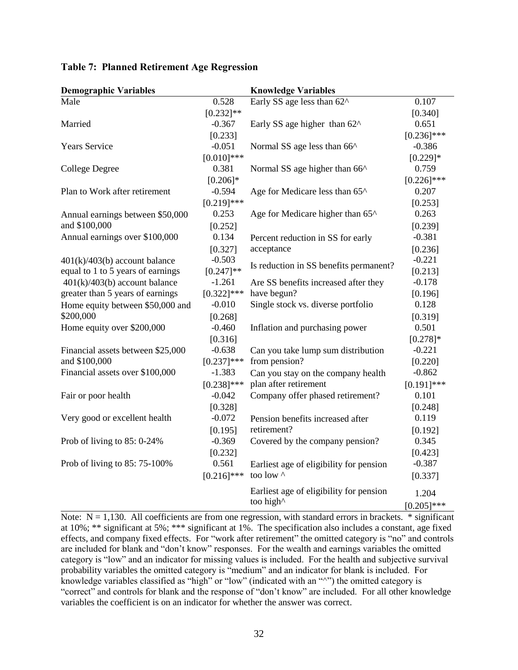| <b>Demographic Variables</b>      |               | <b>Knowledge Variables</b>                                 |               |
|-----------------------------------|---------------|------------------------------------------------------------|---------------|
| Male                              | 0.528         | Early SS age less than 62^                                 | 0.107         |
|                                   | $[0.232]$ **  |                                                            | [0.340]       |
| Married                           | $-0.367$      | Early SS age higher than $62^{\circ}$                      | 0.651         |
|                                   | [0.233]       |                                                            | $[0.236]$ *** |
| <b>Years Service</b>              | $-0.051$      | Normal SS age less than 66^                                | $-0.386$      |
|                                   | $[0.010]$ *** |                                                            | $[0.229]$ *   |
| College Degree                    | 0.381         | Normal SS age higher than 66 <sup><math>\land</math></sup> | 0.759         |
|                                   | $[0.206]*$    |                                                            | $[0.226]$ *** |
| Plan to Work after retirement     | $-0.594$      | Age for Medicare less than 65^                             | 0.207         |
|                                   | $[0.219]$ *** |                                                            | [0.253]       |
| Annual earnings between \$50,000  | 0.253         | Age for Medicare higher than 65^                           | 0.263         |
| and \$100,000                     | [0.252]       |                                                            | [0.239]       |
| Annual earnings over \$100,000    | 0.134         | Percent reduction in SS for early                          | $-0.381$      |
|                                   | [0.327]       | acceptance                                                 | [0.236]       |
| $401(k)/403(b)$ account balance   | $-0.503$      |                                                            | $-0.221$      |
| equal to 1 to 5 years of earnings | $[0.247]$ **  | Is reduction in SS benefits permanent?                     | [0.213]       |
| $401(k)/403(b)$ account balance   | $-1.261$      | Are SS benefits increased after they                       | $-0.178$      |
| greater than 5 years of earnings  | $[0.322]$ *** | have begun?                                                | [0.196]       |
| Home equity between \$50,000 and  | $-0.010$      | Single stock vs. diverse portfolio                         | 0.128         |
| \$200,000                         | [0.268]       |                                                            | [0.319]       |
| Home equity over \$200,000        | $-0.460$      | Inflation and purchasing power                             | 0.501         |
|                                   | [0.316]       |                                                            | $[0.278]*$    |
| Financial assets between \$25,000 | $-0.638$      | Can you take lump sum distribution                         | $-0.221$      |
| and \$100,000                     | $[0.237]$ *** | from pension?                                              | [0.220]       |
| Financial assets over \$100,000   | $-1.383$      | Can you stay on the company health                         | $-0.862$      |
|                                   | $[0.238]$ *** | plan after retirement                                      | $[0.191]$ *** |
| Fair or poor health               | $-0.042$      | Company offer phased retirement?                           | 0.101         |
|                                   | [0.328]       |                                                            | [0.248]       |
| Very good or excellent health     | $-0.072$      | Pension benefits increased after                           | 0.119         |
|                                   | [0.195]       | retirement?                                                | [0.192]       |
| Prob of living to $85:0-24\%$     | $-0.369$      | Covered by the company pension?                            | 0.345         |
|                                   | [0.232]       |                                                            | [0.423]       |
| Prob of living to 85: 75-100%     | 0.561         | Earliest age of eligibility for pension                    | $-0.387$      |
|                                   | $[0.216]$ *** | too low ^                                                  | [0.337]       |
|                                   |               | Earliest age of eligibility for pension                    | 1.204         |
|                                   |               | too high^                                                  | $[0.205]$ *** |

### **Table 7: Planned Retirement Age Regression**

Note:  $N = 1,130$ . All coefficients are from one regression, with standard errors in brackets.  $*$  significant at 10%; \*\* significant at 5%; \*\*\* significant at 1%. The specification also includes a constant, age fixed effects, and company fixed effects. For "work after retirement" the omitted category is "no" and controls are included for blank and "don't know" responses. For the wealth and earnings variables the omitted category is "low" and an indicator for missing values is included. For the health and subjective survival probability variables the omitted category is "medium" and an indicator for blank is included. For knowledge variables classified as "high" or "low" (indicated with an "^") the omitted category is "correct" and controls for blank and the response of "don't know" are included. For all other knowledge variables the coefficient is on an indicator for whether the answer was correct.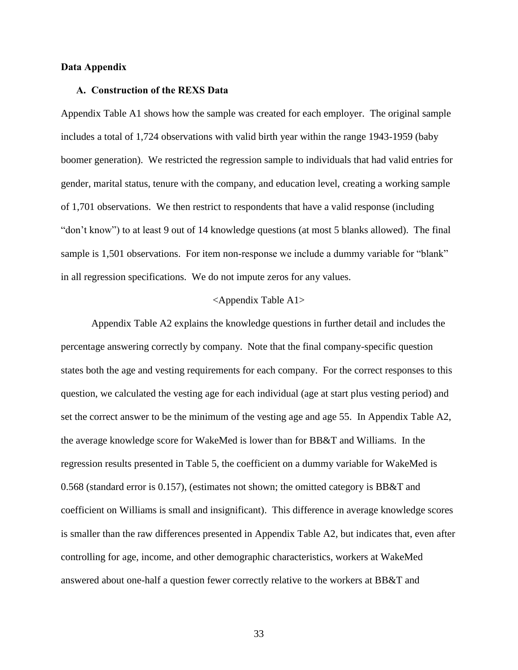### **Data Appendix**

### **A. Construction of the REXS Data**

Appendix Table A1 shows how the sample was created for each employer. The original sample includes a total of 1,724 observations with valid birth year within the range 1943-1959 (baby boomer generation). We restricted the regression sample to individuals that had valid entries for gender, marital status, tenure with the company, and education level, creating a working sample of 1,701 observations. We then restrict to respondents that have a valid response (including "don't know") to at least 9 out of 14 knowledge questions (at most 5 blanks allowed). The final sample is 1,501 observations. For item non-response we include a dummy variable for "blank" in all regression specifications. We do not impute zeros for any values.

### <Appendix Table A1>

Appendix Table A2 explains the knowledge questions in further detail and includes the percentage answering correctly by company. Note that the final company-specific question states both the age and vesting requirements for each company. For the correct responses to this question, we calculated the vesting age for each individual (age at start plus vesting period) and set the correct answer to be the minimum of the vesting age and age 55. In Appendix Table A2, the average knowledge score for WakeMed is lower than for BB&T and Williams. In the regression results presented in Table 5, the coefficient on a dummy variable for WakeMed is 0.568 (standard error is 0.157), (estimates not shown; the omitted category is BB&T and coefficient on Williams is small and insignificant). This difference in average knowledge scores is smaller than the raw differences presented in Appendix Table A2, but indicates that, even after controlling for age, income, and other demographic characteristics, workers at WakeMed answered about one-half a question fewer correctly relative to the workers at BB&T and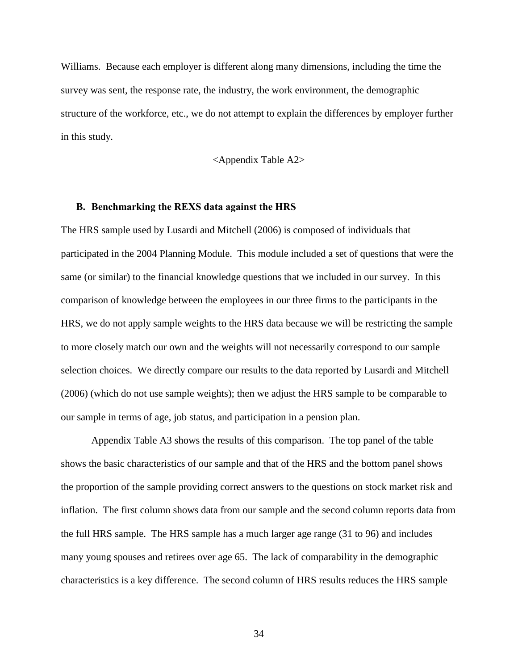Williams. Because each employer is different along many dimensions, including the time the survey was sent, the response rate, the industry, the work environment, the demographic structure of the workforce, etc., we do not attempt to explain the differences by employer further in this study.

<Appendix Table A2>

### **B. Benchmarking the REXS data against the HRS**

The HRS sample used by Lusardi and Mitchell (2006) is composed of individuals that participated in the 2004 Planning Module. This module included a set of questions that were the same (or similar) to the financial knowledge questions that we included in our survey. In this comparison of knowledge between the employees in our three firms to the participants in the HRS, we do not apply sample weights to the HRS data because we will be restricting the sample to more closely match our own and the weights will not necessarily correspond to our sample selection choices. We directly compare our results to the data reported by Lusardi and Mitchell (2006) (which do not use sample weights); then we adjust the HRS sample to be comparable to our sample in terms of age, job status, and participation in a pension plan.

Appendix Table A3 shows the results of this comparison. The top panel of the table shows the basic characteristics of our sample and that of the HRS and the bottom panel shows the proportion of the sample providing correct answers to the questions on stock market risk and inflation. The first column shows data from our sample and the second column reports data from the full HRS sample. The HRS sample has a much larger age range (31 to 96) and includes many young spouses and retirees over age 65. The lack of comparability in the demographic characteristics is a key difference. The second column of HRS results reduces the HRS sample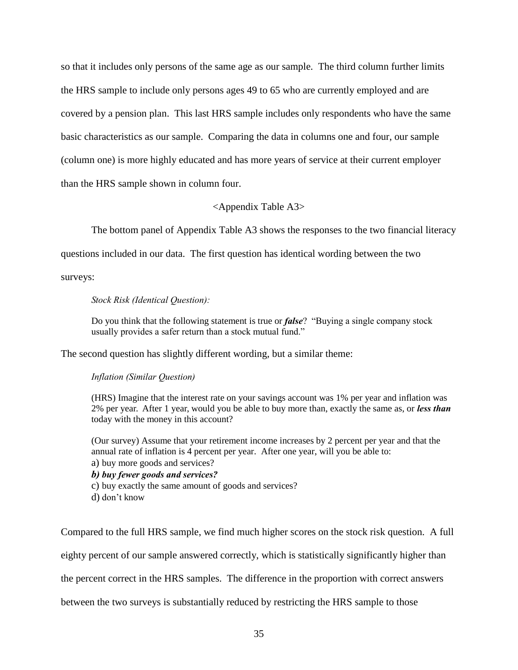so that it includes only persons of the same age as our sample. The third column further limits the HRS sample to include only persons ages 49 to 65 who are currently employed and are covered by a pension plan. This last HRS sample includes only respondents who have the same basic characteristics as our sample. Comparing the data in columns one and four, our sample (column one) is more highly educated and has more years of service at their current employer than the HRS sample shown in column four.

### <Appendix Table A3>

The bottom panel of Appendix Table A3 shows the responses to the two financial literacy

questions included in our data. The first question has identical wording between the two

surveys:

### *Stock Risk (Identical Question):*

Do you think that the following statement is true or *false*? "Buying a single company stock usually provides a safer return than a stock mutual fund."

The second question has slightly different wording, but a similar theme:

### *Inflation (Similar Question)*

(HRS) Imagine that the interest rate on your savings account was 1% per year and inflation was 2% per year. After 1 year, would you be able to buy more than, exactly the same as, or *less than* today with the money in this account?

(Our survey) Assume that your retirement income increases by 2 percent per year and that the annual rate of inflation is 4 percent per year. After one year, will you be able to: a) buy more goods and services?

*b) buy fewer goods and services?*

c) buy exactly the same amount of goods and services?

d) don't know

Compared to the full HRS sample, we find much higher scores on the stock risk question. A full

eighty percent of our sample answered correctly, which is statistically significantly higher than

the percent correct in the HRS samples. The difference in the proportion with correct answers

between the two surveys is substantially reduced by restricting the HRS sample to those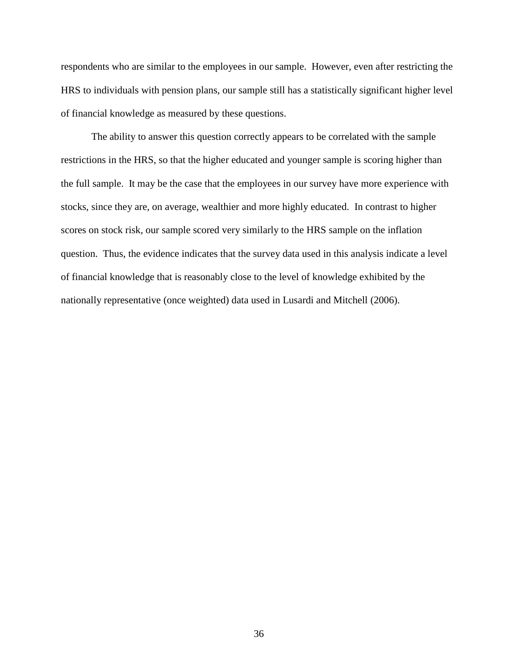respondents who are similar to the employees in our sample. However, even after restricting the HRS to individuals with pension plans, our sample still has a statistically significant higher level of financial knowledge as measured by these questions.

The ability to answer this question correctly appears to be correlated with the sample restrictions in the HRS, so that the higher educated and younger sample is scoring higher than the full sample. It may be the case that the employees in our survey have more experience with stocks, since they are, on average, wealthier and more highly educated. In contrast to higher scores on stock risk, our sample scored very similarly to the HRS sample on the inflation question. Thus, the evidence indicates that the survey data used in this analysis indicate a level of financial knowledge that is reasonably close to the level of knowledge exhibited by the nationally representative (once weighted) data used in Lusardi and Mitchell (2006).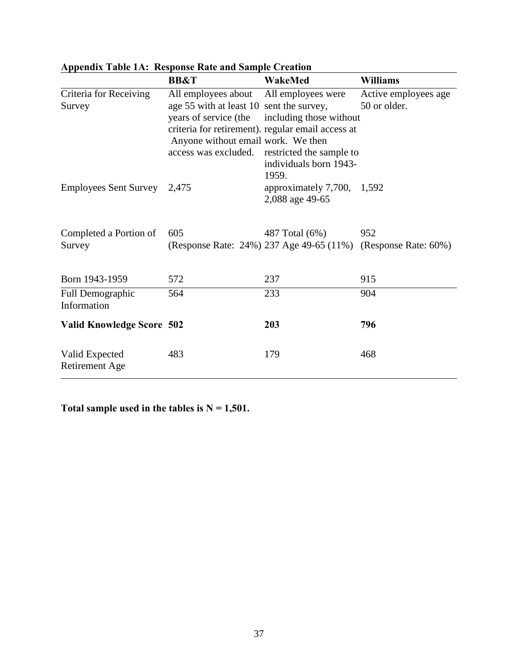|                                  | <b>BB&amp;T</b>                                                                                                                                        | WakeMed                                                                                                                                                           | <b>Williams</b>                      |
|----------------------------------|--------------------------------------------------------------------------------------------------------------------------------------------------------|-------------------------------------------------------------------------------------------------------------------------------------------------------------------|--------------------------------------|
| Criteria for Receiving<br>Survey | All employees about<br>age 55 with at least 10 sent the survey,<br>years of service (the<br>Anyone without email work. We then<br>access was excluded. | All employees were<br>including those without<br>criteria for retirement). regular email access at<br>restricted the sample to<br>individuals born 1943-<br>1959. | Active employees age<br>50 or older. |
| <b>Employees Sent Survey</b>     | 2,475                                                                                                                                                  | approximately $7,700$ , $1,592$<br>2,088 age 49-65                                                                                                                |                                      |
| Completed a Portion of<br>Survey | 605                                                                                                                                                    | 487 Total (6%)<br>(Response Rate: 24%) 237 Age 49-65 (11%) (Response Rate: 60%)                                                                                   | 952                                  |
| Born 1943-1959                   | 572                                                                                                                                                    | 237                                                                                                                                                               | 915                                  |
| Full Demographic<br>Information  | 564                                                                                                                                                    | 233                                                                                                                                                               | 904                                  |
| <b>Valid Knowledge Score 502</b> |                                                                                                                                                        | 203                                                                                                                                                               | 796                                  |
| Valid Expected<br>Retirement Age | 483                                                                                                                                                    | 179                                                                                                                                                               | 468                                  |

**Appendix Table 1A: Response Rate and Sample Creation**

**Total sample used in the tables is N = 1,501.**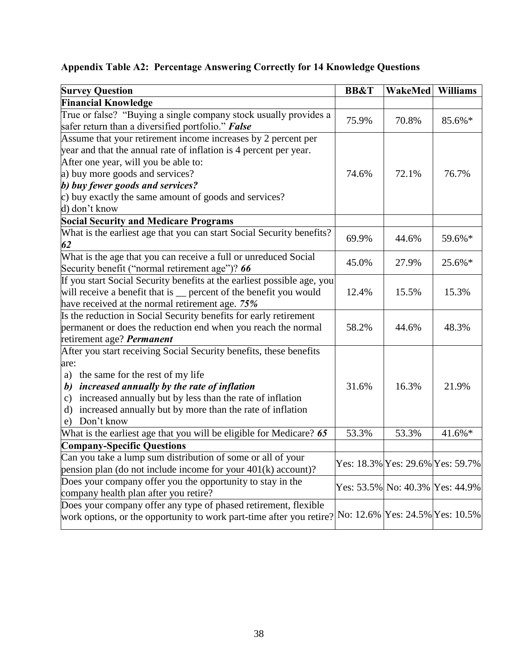## **Appendix Table A2: Percentage Answering Correctly for 14 Knowledge Questions**

| <b>Survey Question</b>                                                                                                                                                  | <b>BB&amp;T</b> | <b>WakeMed</b> | <b>Williams</b>                  |
|-------------------------------------------------------------------------------------------------------------------------------------------------------------------------|-----------------|----------------|----------------------------------|
| <b>Financial Knowledge</b>                                                                                                                                              |                 |                |                                  |
| True or false? "Buying a single company stock usually provides a                                                                                                        |                 |                |                                  |
| safer return than a diversified portfolio." <b>False</b>                                                                                                                | 75.9%           | 70.8%          | 85.6%*                           |
| Assume that your retirement income increases by 2 percent per                                                                                                           |                 |                |                                  |
| year and that the annual rate of inflation is 4 percent per year.                                                                                                       |                 |                |                                  |
| After one year, will you be able to:                                                                                                                                    |                 |                |                                  |
| a) buy more goods and services?                                                                                                                                         | 74.6%           | 72.1%          | 76.7%                            |
| b) buy fewer goods and services?                                                                                                                                        |                 |                |                                  |
| c) buy exactly the same amount of goods and services?                                                                                                                   |                 |                |                                  |
| d) don't know                                                                                                                                                           |                 |                |                                  |
| <b>Social Security and Medicare Programs</b>                                                                                                                            |                 |                |                                  |
| What is the earliest age that you can start Social Security benefits?<br>62                                                                                             | 69.9%           | 44.6%          | 59.6%*                           |
| What is the age that you can receive a full or unreduced Social<br>Security benefit ("normal retirement age")? 66                                                       | 45.0%           | 27.9%          | 25.6%*                           |
| If you start Social Security benefits at the earliest possible age, you                                                                                                 |                 |                |                                  |
| will receive a benefit that is _ percent of the benefit you would                                                                                                       | 12.4%           | 15.5%          | 15.3%                            |
| have received at the normal retirement age. 75%                                                                                                                         |                 |                |                                  |
| Is the reduction in Social Security benefits for early retirement                                                                                                       |                 |                |                                  |
| permanent or does the reduction end when you reach the normal                                                                                                           | 58.2%           | 44.6%          | 48.3%                            |
| retirement age? Permanent                                                                                                                                               |                 |                |                                  |
| After you start receiving Social Security benefits, these benefits                                                                                                      |                 |                |                                  |
| are:                                                                                                                                                                    |                 |                |                                  |
| a) the same for the rest of my life                                                                                                                                     |                 |                |                                  |
| increased annually by the rate of inflation<br>b)                                                                                                                       | 31.6%           | 16.3%          | 21.9%                            |
| increased annually but by less than the rate of inflation<br>$\mathbf{c})$                                                                                              |                 |                |                                  |
| increased annually but by more than the rate of inflation<br>d)                                                                                                         |                 |                |                                  |
| Don't know<br>e)                                                                                                                                                        |                 |                |                                  |
| What is the earliest age that you will be eligible for Medicare? 65                                                                                                     | 53.3%           | 53.3%          | 41.6%*                           |
| <b>Company-Specific Questions</b>                                                                                                                                       |                 |                |                                  |
| Can you take a lump sum distribution of some or all of your<br>pension plan (do not include income for your $401(k)$ account)?                                          |                 |                | Yes: 18.3% Yes: 29.6% Yes: 59.7% |
| Does your company offer you the opportunity to stay in the<br>company health plan after you retire?                                                                     |                 |                | Yes: 53.5% No: 40.3% Yes: 44.9%  |
| Does your company offer any type of phased retirement, flexible<br>work options, or the opportunity to work part-time after you retire? No: 12.6% Yes: 24.5% Yes: 10.5% |                 |                |                                  |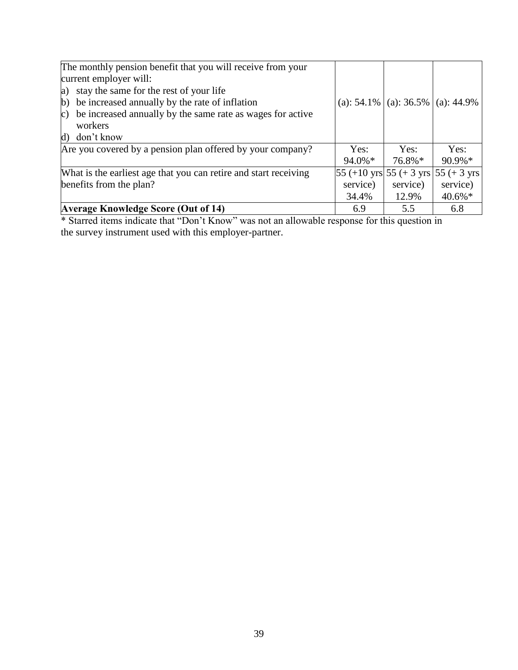| The monthly pension benefit that you will receive from your<br>current employer will:<br>a) stay the same for the rest of your life<br>b) be increased annually by the rate of inflation<br>be increased annually by the same rate as wages for active<br>$\mathbf{c}$ )<br>workers<br>d) don't know |                    | (a): $54.1\%$ (a): $36.5\%$ (a): $44.9\%$ |                                        |
|------------------------------------------------------------------------------------------------------------------------------------------------------------------------------------------------------------------------------------------------------------------------------------------------------|--------------------|-------------------------------------------|----------------------------------------|
| Are you covered by a pension plan offered by your company?                                                                                                                                                                                                                                           | Yes:<br>$94.0\%$ * | Yes:<br>76.8%*                            | Yes:<br>$90.9\%*$                      |
| What is the earliest age that you can retire and start receiving                                                                                                                                                                                                                                     |                    |                                           | 55 (+10 yrs $55$ (+3 yrs $55$ (+3 yrs) |
| benefits from the plan?                                                                                                                                                                                                                                                                              | service)           | service)                                  | service)                               |
|                                                                                                                                                                                                                                                                                                      | 34.4%              | 12.9%                                     | $40.6\%*$                              |
| <b>Average Knowledge Score (Out of 14)</b>                                                                                                                                                                                                                                                           | 6.9                | 5.5                                       | 6.8                                    |

\* Starred items indicate that "Don't Know" was not an allowable response for this question in the survey instrument used with this employer-partner.